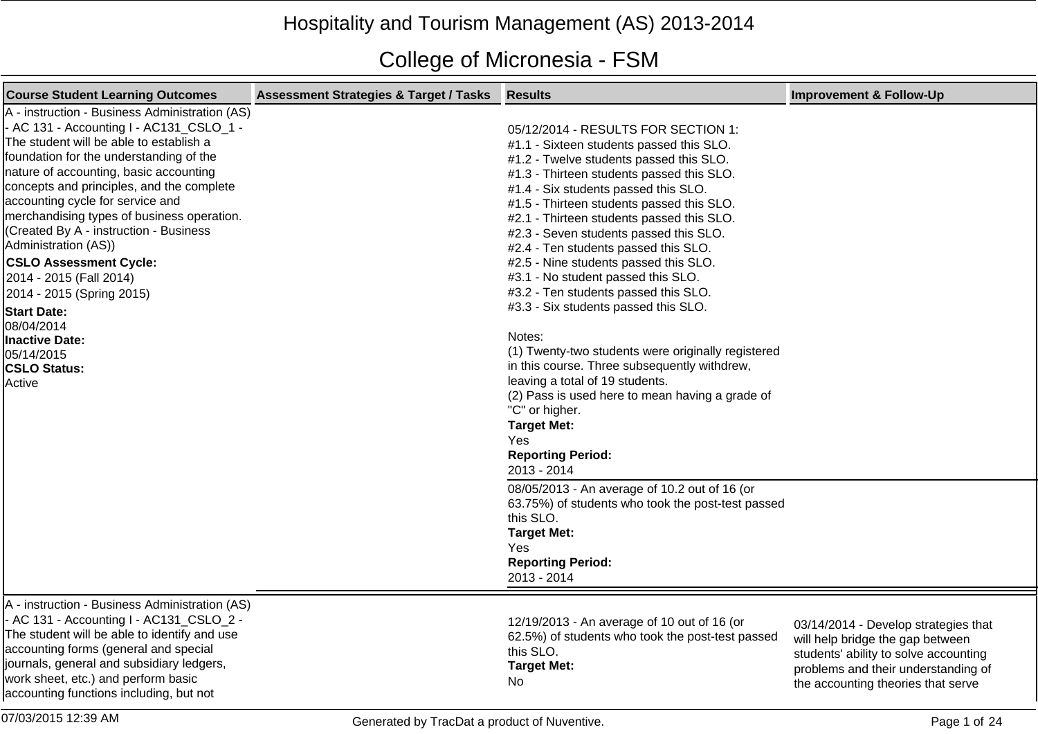## Hospitality and Tourism Management (AS) 2013-2014

## College of Micronesia - FSM

| <b>Course Student Learning Outcomes</b>                                                                                                                                                                                                                                                                                                                                                                                                                                                                                                                                                                                   | <b>Assessment Strategies &amp; Target / Tasks</b> | <b>Results</b>                                                                                                                                                                                                                                                                                                                                                                                                                                                                                                                                                                                                                                                                                                                                                                                                                                                                                                                                                                                                                         | <b>Improvement &amp; Follow-Up</b>                                                                                                                                                             |
|---------------------------------------------------------------------------------------------------------------------------------------------------------------------------------------------------------------------------------------------------------------------------------------------------------------------------------------------------------------------------------------------------------------------------------------------------------------------------------------------------------------------------------------------------------------------------------------------------------------------------|---------------------------------------------------|----------------------------------------------------------------------------------------------------------------------------------------------------------------------------------------------------------------------------------------------------------------------------------------------------------------------------------------------------------------------------------------------------------------------------------------------------------------------------------------------------------------------------------------------------------------------------------------------------------------------------------------------------------------------------------------------------------------------------------------------------------------------------------------------------------------------------------------------------------------------------------------------------------------------------------------------------------------------------------------------------------------------------------------|------------------------------------------------------------------------------------------------------------------------------------------------------------------------------------------------|
| A - instruction - Business Administration (AS)<br>- AC 131 - Accounting I - AC131_CSLO_1 -<br>The student will be able to establish a<br>foundation for the understanding of the<br>nature of accounting, basic accounting<br>concepts and principles, and the complete<br>accounting cycle for service and<br>merchandising types of business operation.<br>(Created By A - instruction - Business<br>Administration (AS))<br><b>CSLO Assessment Cycle:</b><br>2014 - 2015 (Fall 2014)<br>2014 - 2015 (Spring 2015)<br><b>Start Date:</b><br>08/04/2014<br>Inactive Date:<br>05/14/2015<br><b>CSLO Status:</b><br>Active |                                                   | 05/12/2014 - RESULTS FOR SECTION 1:<br>#1.1 - Sixteen students passed this SLO.<br>#1.2 - Twelve students passed this SLO.<br>#1.3 - Thirteen students passed this SLO.<br>#1.4 - Six students passed this SLO.<br>#1.5 - Thirteen students passed this SLO.<br>#2.1 - Thirteen students passed this SLO.<br>#2.3 - Seven students passed this SLO.<br>#2.4 - Ten students passed this SLO.<br>#2.5 - Nine students passed this SLO.<br>#3.1 - No student passed this SLO.<br>#3.2 - Ten students passed this SLO.<br>#3.3 - Six students passed this SLO.<br>Notes:<br>(1) Twenty-two students were originally registered<br>in this course. Three subsequently withdrew,<br>leaving a total of 19 students.<br>(2) Pass is used here to mean having a grade of<br>"C" or higher.<br><b>Target Met:</b><br>Yes<br><b>Reporting Period:</b><br>2013 - 2014<br>08/05/2013 - An average of 10.2 out of 16 (or<br>63.75%) of students who took the post-test passed<br>this SLO.<br><b>Target Met:</b><br>Yes<br><b>Reporting Period:</b> |                                                                                                                                                                                                |
|                                                                                                                                                                                                                                                                                                                                                                                                                                                                                                                                                                                                                           |                                                   | 2013 - 2014                                                                                                                                                                                                                                                                                                                                                                                                                                                                                                                                                                                                                                                                                                                                                                                                                                                                                                                                                                                                                            |                                                                                                                                                                                                |
| A - instruction - Business Administration (AS)<br>- AC 131 - Accounting I - AC131_CSLO_2 -<br>The student will be able to identify and use<br>accounting forms (general and special<br>journals, general and subsidiary ledgers,<br>work sheet, etc.) and perform basic<br>accounting functions including, but not                                                                                                                                                                                                                                                                                                        |                                                   | 12/19/2013 - An average of 10 out of 16 (or<br>62.5%) of students who took the post-test passed<br>this SLO.<br><b>Target Met:</b><br>No                                                                                                                                                                                                                                                                                                                                                                                                                                                                                                                                                                                                                                                                                                                                                                                                                                                                                               | 03/14/2014 - Develop strategies that<br>will help bridge the gap between<br>students' ability to solve accounting<br>problems and their understanding of<br>the accounting theories that serve |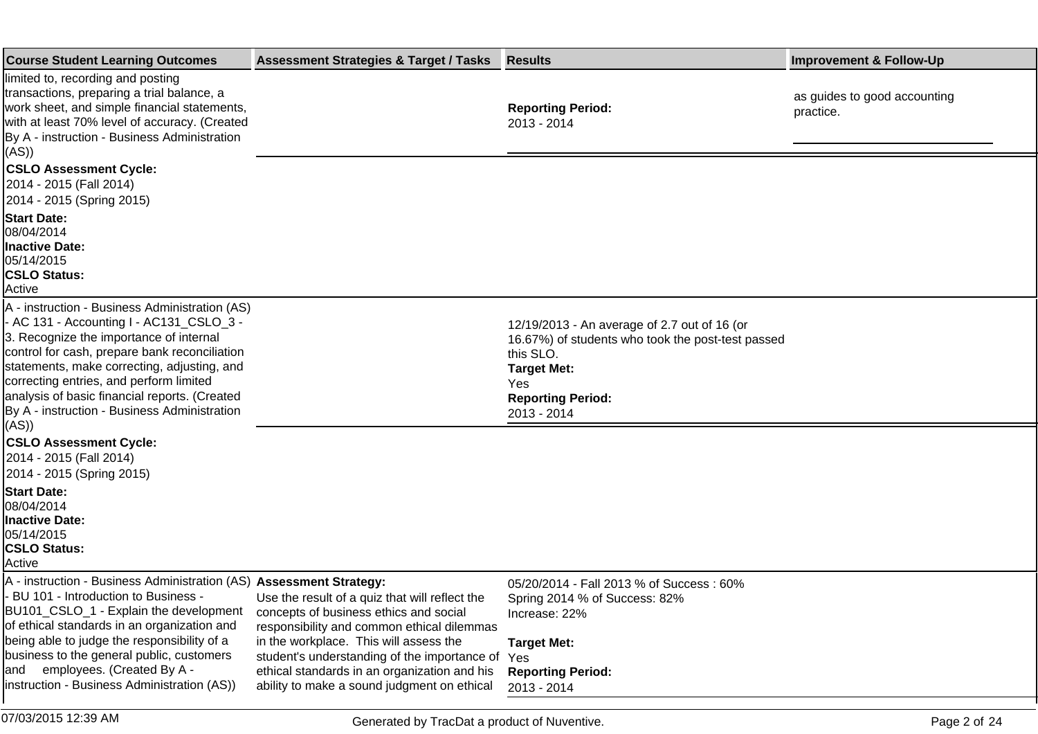| <b>Course Student Learning Outcomes</b>                                                                                                                                                                                                                                                                                                                                                    | <b>Assessment Strategies &amp; Target / Tasks</b>                                                                                                                                                                                                                                                                               | <b>Results</b>                                                                                                                                                                         | <b>Improvement &amp; Follow-Up</b>        |
|--------------------------------------------------------------------------------------------------------------------------------------------------------------------------------------------------------------------------------------------------------------------------------------------------------------------------------------------------------------------------------------------|---------------------------------------------------------------------------------------------------------------------------------------------------------------------------------------------------------------------------------------------------------------------------------------------------------------------------------|----------------------------------------------------------------------------------------------------------------------------------------------------------------------------------------|-------------------------------------------|
| limited to, recording and posting<br>transactions, preparing a trial balance, a<br>work sheet, and simple financial statements,<br>with at least 70% level of accuracy. (Created<br>By A - instruction - Business Administration<br>(AS))                                                                                                                                                  |                                                                                                                                                                                                                                                                                                                                 | <b>Reporting Period:</b><br>2013 - 2014                                                                                                                                                | as guides to good accounting<br>practice. |
| <b>CSLO Assessment Cycle:</b><br>2014 - 2015 (Fall 2014)<br>2014 - 2015 (Spring 2015)                                                                                                                                                                                                                                                                                                      |                                                                                                                                                                                                                                                                                                                                 |                                                                                                                                                                                        |                                           |
| <b>Start Date:</b><br>08/04/2014<br><b>Inactive Date:</b><br>05/14/2015<br><b>CSLO Status:</b><br>Active                                                                                                                                                                                                                                                                                   |                                                                                                                                                                                                                                                                                                                                 |                                                                                                                                                                                        |                                           |
| A - instruction - Business Administration (AS)<br>- AC 131 - Accounting I - AC131_CSLO_3 -<br>3. Recognize the importance of internal<br>control for cash, prepare bank reconciliation<br>statements, make correcting, adjusting, and<br>correcting entries, and perform limited<br>analysis of basic financial reports. (Created<br>By A - instruction - Business Administration<br>(AS)) |                                                                                                                                                                                                                                                                                                                                 | 12/19/2013 - An average of 2.7 out of 16 (or<br>16.67%) of students who took the post-test passed<br>this SLO.<br><b>Target Met:</b><br>Yes<br><b>Reporting Period:</b><br>2013 - 2014 |                                           |
| <b>CSLO Assessment Cycle:</b><br>2014 - 2015 (Fall 2014)<br>2014 - 2015 (Spring 2015)                                                                                                                                                                                                                                                                                                      |                                                                                                                                                                                                                                                                                                                                 |                                                                                                                                                                                        |                                           |
| <b>Start Date:</b><br>08/04/2014<br><b>Inactive Date:</b><br>05/14/2015<br><b>CSLO Status:</b><br>Active                                                                                                                                                                                                                                                                                   |                                                                                                                                                                                                                                                                                                                                 |                                                                                                                                                                                        |                                           |
| A - instruction - Business Administration (AS) Assessment Strategy:<br>- BU 101 - Introduction to Business -<br>BU101_CSLO_1 - Explain the development<br>of ethical standards in an organization and<br>being able to judge the responsibility of a<br>business to the general public, customers<br>employees. (Created By A -<br>and<br>instruction - Business Administration (AS))      | Use the result of a quiz that will reflect the<br>concepts of business ethics and social<br>responsibility and common ethical dilemmas<br>in the workplace. This will assess the<br>student's understanding of the importance of<br>ethical standards in an organization and his<br>ability to make a sound judgment on ethical | 05/20/2014 - Fall 2013 % of Success: 60%<br>Spring 2014 % of Success: 82%<br>Increase: 22%<br><b>Target Met:</b><br>Yes<br><b>Reporting Period:</b><br>2013 - 2014                     |                                           |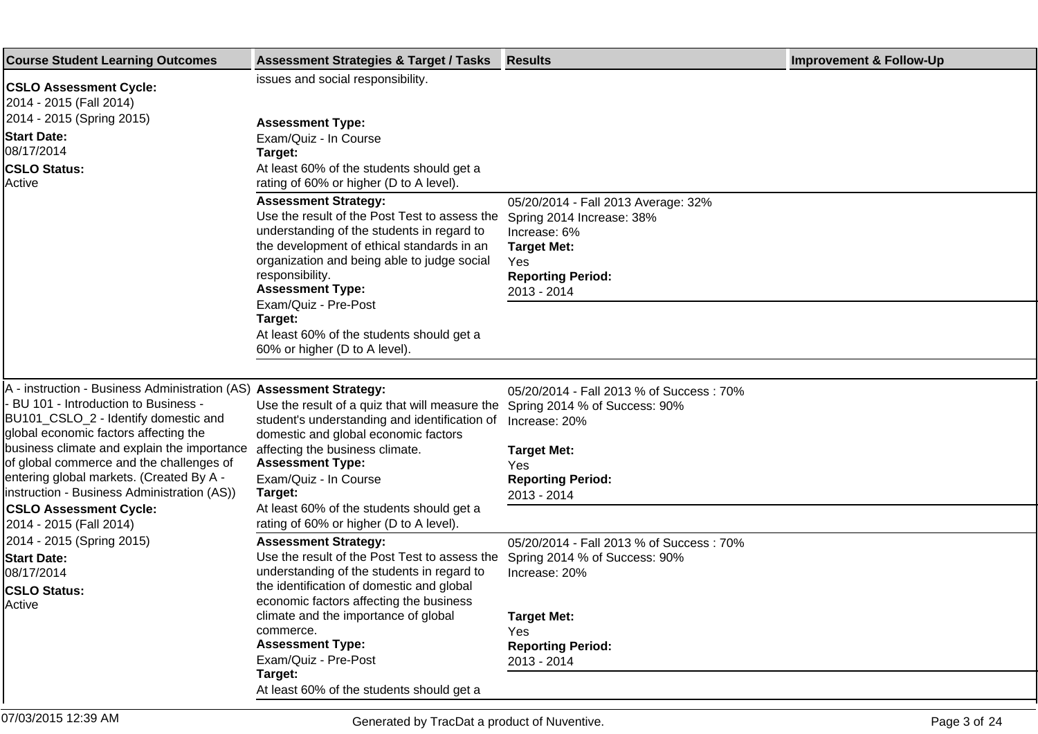| <b>Course Student Learning Outcomes</b>                                                                                                                                                                                                                                                                                                                                             | <b>Assessment Strategies &amp; Target / Tasks</b>                                                                                                                                                                                                                                             | <b>Results</b>                                                                                                                                           | <b>Improvement &amp; Follow-Up</b> |
|-------------------------------------------------------------------------------------------------------------------------------------------------------------------------------------------------------------------------------------------------------------------------------------------------------------------------------------------------------------------------------------|-----------------------------------------------------------------------------------------------------------------------------------------------------------------------------------------------------------------------------------------------------------------------------------------------|----------------------------------------------------------------------------------------------------------------------------------------------------------|------------------------------------|
| <b>CSLO Assessment Cycle:</b><br>2014 - 2015 (Fall 2014)                                                                                                                                                                                                                                                                                                                            | issues and social responsibility.                                                                                                                                                                                                                                                             |                                                                                                                                                          |                                    |
| 2014 - 2015 (Spring 2015)<br><b>Start Date:</b>                                                                                                                                                                                                                                                                                                                                     | <b>Assessment Type:</b><br>Exam/Quiz - In Course                                                                                                                                                                                                                                              |                                                                                                                                                          |                                    |
| 08/17/2014<br><b>CSLO Status:</b><br>Active                                                                                                                                                                                                                                                                                                                                         | Target:<br>At least 60% of the students should get a<br>rating of 60% or higher (D to A level).                                                                                                                                                                                               |                                                                                                                                                          |                                    |
|                                                                                                                                                                                                                                                                                                                                                                                     | <b>Assessment Strategy:</b><br>Use the result of the Post Test to assess the<br>understanding of the students in regard to<br>the development of ethical standards in an<br>organization and being able to judge social<br>responsibility.<br><b>Assessment Type:</b><br>Exam/Quiz - Pre-Post | 05/20/2014 - Fall 2013 Average: 32%<br>Spring 2014 Increase: 38%<br>Increase: 6%<br><b>Target Met:</b><br>Yes<br><b>Reporting Period:</b><br>2013 - 2014 |                                    |
|                                                                                                                                                                                                                                                                                                                                                                                     | Target:<br>At least 60% of the students should get a<br>60% or higher (D to A level).                                                                                                                                                                                                         |                                                                                                                                                          |                                    |
|                                                                                                                                                                                                                                                                                                                                                                                     |                                                                                                                                                                                                                                                                                               |                                                                                                                                                          |                                    |
| A - instruction - Business Administration (AS) Assessment Strategy:<br>- BU 101 - Introduction to Business -<br>BU101_CSLO_2 - Identify domestic and<br>global economic factors affecting the<br>business climate and explain the importance<br>of global commerce and the challenges of<br>entering global markets. (Created By A -<br>instruction - Business Administration (AS)) | Use the result of a quiz that will measure the<br>student's understanding and identification of<br>domestic and global economic factors                                                                                                                                                       | 05/20/2014 - Fall 2013 % of Success: 70%<br>Spring 2014 % of Success: 90%<br>Increase: 20%                                                               |                                    |
|                                                                                                                                                                                                                                                                                                                                                                                     | affecting the business climate.<br><b>Assessment Type:</b><br>Exam/Quiz - In Course<br>Target:                                                                                                                                                                                                | <b>Target Met:</b><br>Yes<br><b>Reporting Period:</b><br>2013 - 2014                                                                                     |                                    |
| <b>CSLO Assessment Cycle:</b><br>2014 - 2015 (Fall 2014)                                                                                                                                                                                                                                                                                                                            | At least 60% of the students should get a<br>rating of 60% or higher (D to A level).                                                                                                                                                                                                          |                                                                                                                                                          |                                    |
| 2014 - 2015 (Spring 2015)<br><b>Start Date:</b><br>08/17/2014<br><b>CSLO Status:</b><br>Active                                                                                                                                                                                                                                                                                      | <b>Assessment Strategy:</b><br>Use the result of the Post Test to assess the<br>understanding of the students in regard to<br>the identification of domestic and global<br>economic factors affecting the business                                                                            | 05/20/2014 - Fall 2013 % of Success: 70%<br>Spring 2014 % of Success: 90%<br>Increase: 20%                                                               |                                    |
|                                                                                                                                                                                                                                                                                                                                                                                     | climate and the importance of global<br>commerce.<br><b>Assessment Type:</b><br>Exam/Quiz - Pre-Post                                                                                                                                                                                          | <b>Target Met:</b><br>Yes<br><b>Reporting Period:</b><br>2013 - 2014                                                                                     |                                    |
|                                                                                                                                                                                                                                                                                                                                                                                     | Target:<br>At least 60% of the students should get a                                                                                                                                                                                                                                          |                                                                                                                                                          |                                    |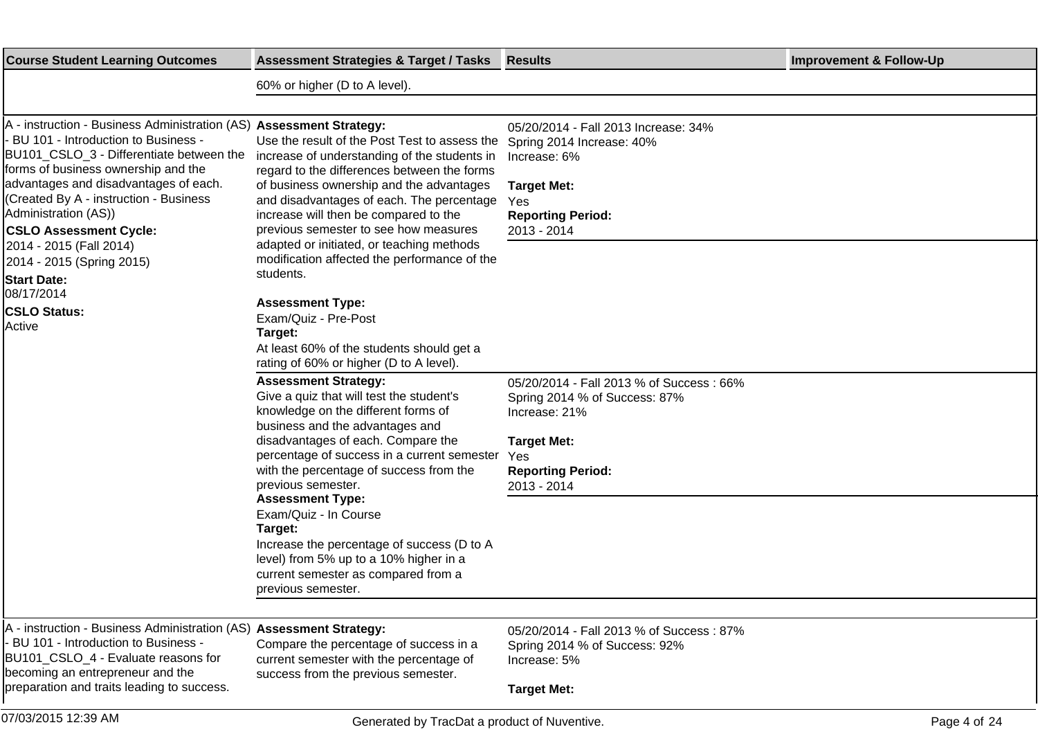| <b>Course Student Learning Outcomes</b>                                                                                                                                                                                                                                                                                                   | <b>Assessment Strategies &amp; Target / Tasks</b>                                                                                                                                                                                                                                                                       | <b>Results</b>                                                                                                                                                     | <b>Improvement &amp; Follow-Up</b> |
|-------------------------------------------------------------------------------------------------------------------------------------------------------------------------------------------------------------------------------------------------------------------------------------------------------------------------------------------|-------------------------------------------------------------------------------------------------------------------------------------------------------------------------------------------------------------------------------------------------------------------------------------------------------------------------|--------------------------------------------------------------------------------------------------------------------------------------------------------------------|------------------------------------|
|                                                                                                                                                                                                                                                                                                                                           | 60% or higher (D to A level).                                                                                                                                                                                                                                                                                           |                                                                                                                                                                    |                                    |
|                                                                                                                                                                                                                                                                                                                                           |                                                                                                                                                                                                                                                                                                                         |                                                                                                                                                                    |                                    |
| A - instruction - Business Administration (AS) Assessment Strategy:<br>BU 101 - Introduction to Business -<br>BU101_CSLO_3 - Differentiate between the<br>forms of business ownership and the<br>advantages and disadvantages of each.<br>(Created By A - instruction - Business<br>Administration (AS))<br><b>CSLO Assessment Cycle:</b> | Use the result of the Post Test to assess the<br>increase of understanding of the students in<br>regard to the differences between the forms<br>of business ownership and the advantages<br>and disadvantages of each. The percentage<br>increase will then be compared to the<br>previous semester to see how measures | 05/20/2014 - Fall 2013 Increase: 34%<br>Spring 2014 Increase: 40%<br>Increase: 6%<br><b>Target Met:</b><br>Yes<br><b>Reporting Period:</b><br>2013 - 2014          |                                    |
| 2014 - 2015 (Fall 2014)<br>2014 - 2015 (Spring 2015)<br><b>Start Date:</b>                                                                                                                                                                                                                                                                | adapted or initiated, or teaching methods<br>modification affected the performance of the<br>students.                                                                                                                                                                                                                  |                                                                                                                                                                    |                                    |
| 08/17/2014<br><b>CSLO Status:</b><br>Active                                                                                                                                                                                                                                                                                               | <b>Assessment Type:</b><br>Exam/Quiz - Pre-Post<br>Target:<br>At least 60% of the students should get a<br>rating of 60% or higher (D to A level).                                                                                                                                                                      |                                                                                                                                                                    |                                    |
|                                                                                                                                                                                                                                                                                                                                           | <b>Assessment Strategy:</b><br>Give a quiz that will test the student's<br>knowledge on the different forms of<br>business and the advantages and<br>disadvantages of each. Compare the<br>percentage of success in a current semester<br>with the percentage of success from the<br>previous semester.                 | 05/20/2014 - Fall 2013 % of Success: 66%<br>Spring 2014 % of Success: 87%<br>Increase: 21%<br><b>Target Met:</b><br>Yes<br><b>Reporting Period:</b><br>2013 - 2014 |                                    |
|                                                                                                                                                                                                                                                                                                                                           | <b>Assessment Type:</b><br>Exam/Quiz - In Course<br>Target:<br>Increase the percentage of success (D to A<br>level) from 5% up to a 10% higher in a<br>current semester as compared from a<br>previous semester.                                                                                                        |                                                                                                                                                                    |                                    |
| A - instruction - Business Administration (AS) Assessment Strategy:<br>BU 101 - Introduction to Business -<br>BU101_CSLO_4 - Evaluate reasons for<br>becoming an entrepreneur and the<br>preparation and traits leading to success.                                                                                                       | Compare the percentage of success in a<br>current semester with the percentage of<br>success from the previous semester.                                                                                                                                                                                                | 05/20/2014 - Fall 2013 % of Success: 87%<br>Spring 2014 % of Success: 92%<br>Increase: 5%<br><b>Target Met:</b>                                                    |                                    |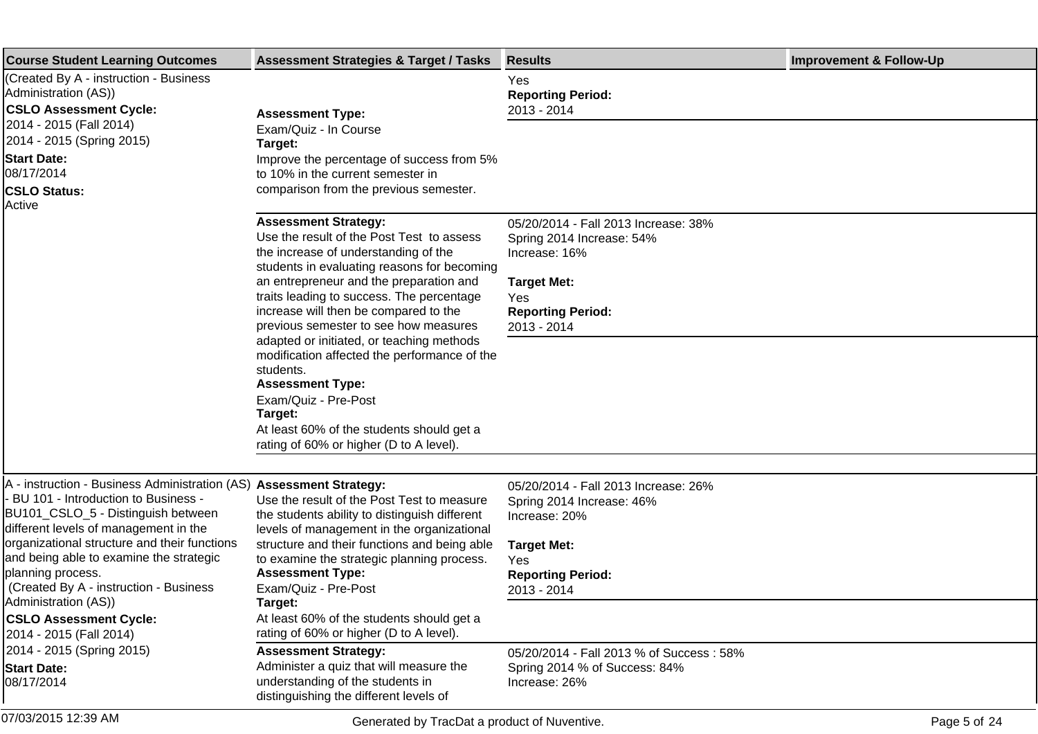| <b>Course Student Learning Outcomes</b>                                                                                                                                                                                                                                                                                                                                                                                                                                                      | <b>Assessment Strategies &amp; Target / Tasks</b>                                                                                                                                                                                                                                                                                                                                                                                                                                                                                                                                                         | <b>Results</b>                                                                                                                                                                                                                          | <b>Improvement &amp; Follow-Up</b> |
|----------------------------------------------------------------------------------------------------------------------------------------------------------------------------------------------------------------------------------------------------------------------------------------------------------------------------------------------------------------------------------------------------------------------------------------------------------------------------------------------|-----------------------------------------------------------------------------------------------------------------------------------------------------------------------------------------------------------------------------------------------------------------------------------------------------------------------------------------------------------------------------------------------------------------------------------------------------------------------------------------------------------------------------------------------------------------------------------------------------------|-----------------------------------------------------------------------------------------------------------------------------------------------------------------------------------------------------------------------------------------|------------------------------------|
| (Created By A - instruction - Business<br>Administration (AS))<br><b>CSLO Assessment Cycle:</b><br>2014 - 2015 (Fall 2014)<br>2014 - 2015 (Spring 2015)<br><b>Start Date:</b><br>08/17/2014<br><b>CSLO Status:</b>                                                                                                                                                                                                                                                                           | <b>Assessment Type:</b><br>Exam/Quiz - In Course<br>Target:<br>Improve the percentage of success from 5%<br>to 10% in the current semester in<br>comparison from the previous semester.                                                                                                                                                                                                                                                                                                                                                                                                                   | Yes<br><b>Reporting Period:</b><br>2013 - 2014                                                                                                                                                                                          |                                    |
| Active                                                                                                                                                                                                                                                                                                                                                                                                                                                                                       | <b>Assessment Strategy:</b><br>Use the result of the Post Test to assess<br>the increase of understanding of the<br>students in evaluating reasons for becoming<br>an entrepreneur and the preparation and<br>traits leading to success. The percentage<br>increase will then be compared to the<br>previous semester to see how measures<br>adapted or initiated, or teaching methods<br>modification affected the performance of the<br>students.<br><b>Assessment Type:</b><br>Exam/Quiz - Pre-Post<br>Target:<br>At least 60% of the students should get a<br>rating of 60% or higher (D to A level). | 05/20/2014 - Fall 2013 Increase: 38%<br>Spring 2014 Increase: 54%<br>Increase: 16%<br><b>Target Met:</b><br>Yes<br><b>Reporting Period:</b><br>2013 - 2014                                                                              |                                    |
| A - instruction - Business Administration (AS) Assessment Strategy:<br>- BU 101 - Introduction to Business -<br>BU101_CSLO_5 - Distinguish between<br>different levels of management in the<br>organizational structure and their functions<br>and being able to examine the strategic<br>planning process.<br>(Created By A - instruction - Business<br>Administration (AS))<br><b>CSLO Assessment Cycle:</b><br>2014 - 2015 (Fall 2014)<br>2014 - 2015 (Spring 2015)<br><b>Start Date:</b> | Use the result of the Post Test to measure<br>the students ability to distinguish different<br>levels of management in the organizational<br>structure and their functions and being able<br>to examine the strategic planning process.<br><b>Assessment Type:</b><br>Exam/Quiz - Pre-Post<br>Target:<br>At least 60% of the students should get a<br>rating of 60% or higher (D to A level).<br><b>Assessment Strategy:</b><br>Administer a quiz that will measure the                                                                                                                                   | 05/20/2014 - Fall 2013 Increase: 26%<br>Spring 2014 Increase: 46%<br>Increase: 20%<br><b>Target Met:</b><br>Yes<br><b>Reporting Period:</b><br>2013 - 2014<br>05/20/2014 - Fall 2013 % of Success: 58%<br>Spring 2014 % of Success: 84% |                                    |
| 08/17/2014<br>07/03/2015 12:39 AM                                                                                                                                                                                                                                                                                                                                                                                                                                                            | understanding of the students in<br>distinguishing the different levels of<br>Generated by TracDat a product of Nuventive.                                                                                                                                                                                                                                                                                                                                                                                                                                                                                | Increase: 26%                                                                                                                                                                                                                           | Page 5 of 24                       |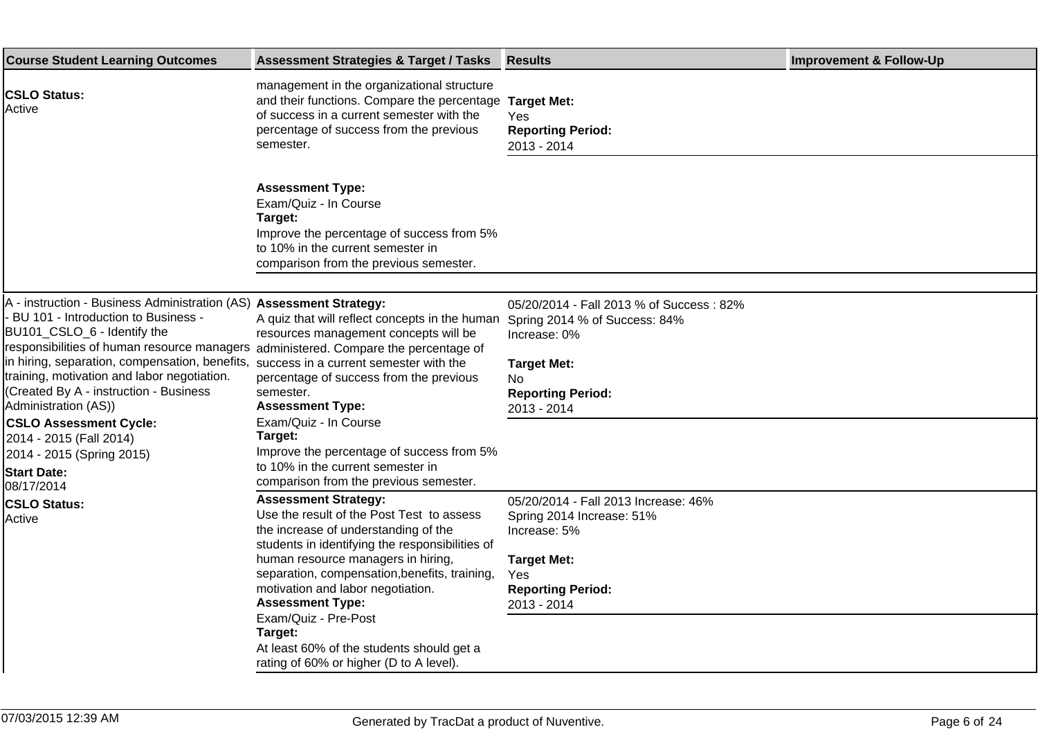| <b>Course Student Learning Outcomes</b>                                                                                                                                                                                                                                                                                                                                                                                                                                                                                                                   | <b>Assessment Strategies &amp; Target / Tasks</b>                                                                                                                                                                                                                                                                                                                                                                                                     | <b>Results</b>                                                                                                                                                    | <b>Improvement &amp; Follow-Up</b> |
|-----------------------------------------------------------------------------------------------------------------------------------------------------------------------------------------------------------------------------------------------------------------------------------------------------------------------------------------------------------------------------------------------------------------------------------------------------------------------------------------------------------------------------------------------------------|-------------------------------------------------------------------------------------------------------------------------------------------------------------------------------------------------------------------------------------------------------------------------------------------------------------------------------------------------------------------------------------------------------------------------------------------------------|-------------------------------------------------------------------------------------------------------------------------------------------------------------------|------------------------------------|
| <b>CSLO Status:</b><br>Active                                                                                                                                                                                                                                                                                                                                                                                                                                                                                                                             | management in the organizational structure<br>and their functions. Compare the percentage<br>of success in a current semester with the<br>percentage of success from the previous<br>semester.                                                                                                                                                                                                                                                        | <b>Target Met:</b><br>Yes<br><b>Reporting Period:</b><br>2013 - 2014                                                                                              |                                    |
|                                                                                                                                                                                                                                                                                                                                                                                                                                                                                                                                                           | <b>Assessment Type:</b><br>Exam/Quiz - In Course<br>Target:<br>Improve the percentage of success from 5%<br>to 10% in the current semester in<br>comparison from the previous semester.                                                                                                                                                                                                                                                               |                                                                                                                                                                   |                                    |
| A - instruction - Business Administration (AS) Assessment Strategy:<br>BU 101 - Introduction to Business -<br>BU101_CSLO_6 - Identify the<br>responsibilities of human resource managers administered. Compare the percentage of<br>in hiring, separation, compensation, benefits, success in a current semester with the<br>training, motivation and labor negotiation.<br>(Created By A - instruction - Business<br>Administration (AS))<br><b>CSLO Assessment Cycle:</b><br>2014 - 2015 (Fall 2014)<br>2014 - 2015 (Spring 2015)<br><b>Start Date:</b> | A quiz that will reflect concepts in the human<br>resources management concepts will be<br>percentage of success from the previous<br>semester.<br><b>Assessment Type:</b><br>Exam/Quiz - In Course<br>Target:<br>Improve the percentage of success from 5%<br>to 10% in the current semester in<br>comparison from the previous semester.                                                                                                            | 05/20/2014 - Fall 2013 % of Success: 82%<br>Spring 2014 % of Success: 84%<br>Increase: 0%<br><b>Target Met:</b><br>No.<br><b>Reporting Period:</b><br>2013 - 2014 |                                    |
| 08/17/2014<br><b>CSLO Status:</b><br>Active                                                                                                                                                                                                                                                                                                                                                                                                                                                                                                               | <b>Assessment Strategy:</b><br>Use the result of the Post Test to assess<br>the increase of understanding of the<br>students in identifying the responsibilities of<br>human resource managers in hiring,<br>separation, compensation, benefits, training,<br>motivation and labor negotiation.<br><b>Assessment Type:</b><br>Exam/Quiz - Pre-Post<br>Target:<br>At least 60% of the students should get a<br>rating of 60% or higher (D to A level). | 05/20/2014 - Fall 2013 Increase: 46%<br>Spring 2014 Increase: 51%<br>Increase: 5%<br><b>Target Met:</b><br>Yes<br><b>Reporting Period:</b><br>2013 - 2014         |                                    |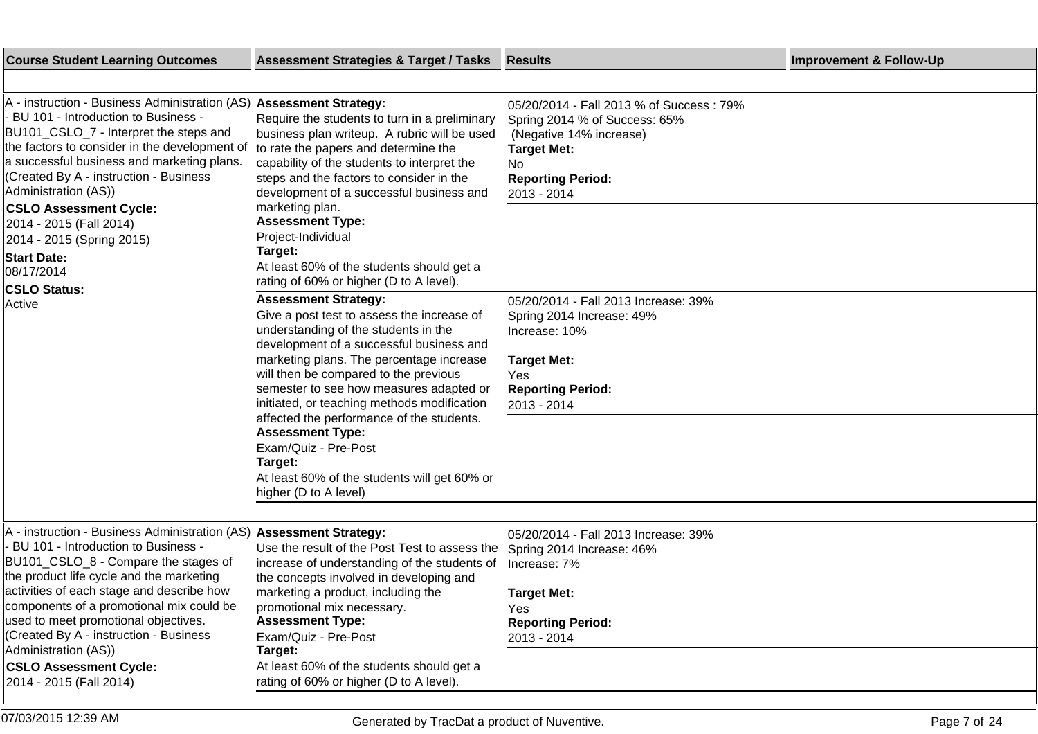| <b>Course Student Learning Outcomes</b>                                                                                                                                                                                                                                                                                                                | <b>Assessment Strategies &amp; Target / Tasks</b>                                                                                                                                                                                                                                                                                                                                                                                                                                                                                | <b>Results</b>                                                                                                                                                               | <b>Improvement &amp; Follow-Up</b> |
|--------------------------------------------------------------------------------------------------------------------------------------------------------------------------------------------------------------------------------------------------------------------------------------------------------------------------------------------------------|----------------------------------------------------------------------------------------------------------------------------------------------------------------------------------------------------------------------------------------------------------------------------------------------------------------------------------------------------------------------------------------------------------------------------------------------------------------------------------------------------------------------------------|------------------------------------------------------------------------------------------------------------------------------------------------------------------------------|------------------------------------|
|                                                                                                                                                                                                                                                                                                                                                        |                                                                                                                                                                                                                                                                                                                                                                                                                                                                                                                                  |                                                                                                                                                                              |                                    |
| A - instruction - Business Administration (AS) Assessment Strategy:<br>BU 101 - Introduction to Business -<br>BU101_CSLO_7 - Interpret the steps and<br>the factors to consider in the development of<br>a successful business and marketing plans.<br>(Created By A - instruction - Business<br>Administration (AS))<br><b>CSLO Assessment Cycle:</b> | Require the students to turn in a preliminary<br>business plan writeup. A rubric will be used<br>to rate the papers and determine the<br>capability of the students to interpret the<br>steps and the factors to consider in the<br>development of a successful business and<br>marketing plan.                                                                                                                                                                                                                                  | 05/20/2014 - Fall 2013 % of Success: 79%<br>Spring 2014 % of Success: 65%<br>(Negative 14% increase)<br><b>Target Met:</b><br>No.<br><b>Reporting Period:</b><br>2013 - 2014 |                                    |
| 2014 - 2015 (Fall 2014)                                                                                                                                                                                                                                                                                                                                | <b>Assessment Type:</b><br>Project-Individual                                                                                                                                                                                                                                                                                                                                                                                                                                                                                    |                                                                                                                                                                              |                                    |
| 2014 - 2015 (Spring 2015)<br><b>Start Date:</b>                                                                                                                                                                                                                                                                                                        | Target:                                                                                                                                                                                                                                                                                                                                                                                                                                                                                                                          |                                                                                                                                                                              |                                    |
| 08/17/2014                                                                                                                                                                                                                                                                                                                                             | At least 60% of the students should get a<br>rating of 60% or higher (D to A level).                                                                                                                                                                                                                                                                                                                                                                                                                                             |                                                                                                                                                                              |                                    |
| <b>CSLO Status:</b><br>Active                                                                                                                                                                                                                                                                                                                          | <b>Assessment Strategy:</b><br>Give a post test to assess the increase of<br>understanding of the students in the<br>development of a successful business and<br>marketing plans. The percentage increase<br>will then be compared to the previous<br>semester to see how measures adapted or<br>initiated, or teaching methods modification<br>affected the performance of the students.<br><b>Assessment Type:</b><br>Exam/Quiz - Pre-Post<br>Target:<br>At least 60% of the students will get 60% or<br>higher (D to A level) | 05/20/2014 - Fall 2013 Increase: 39%<br>Spring 2014 Increase: 49%<br>Increase: 10%<br><b>Target Met:</b><br>Yes<br><b>Reporting Period:</b><br>2013 - 2014                   |                                    |
| A - instruction - Business Administration (AS) Assessment Strategy:<br>- BU 101 - Introduction to Business -<br>BU101_CSLO_8 - Compare the stages of<br>the product life cycle and the marketing<br>activities of each stage and describe how<br>components of a promotional mix could be<br>used to meet promotional objectives.                      | Use the result of the Post Test to assess the<br>increase of understanding of the students of<br>the concepts involved in developing and<br>marketing a product, including the<br>promotional mix necessary.<br><b>Assessment Type:</b>                                                                                                                                                                                                                                                                                          | 05/20/2014 - Fall 2013 Increase: 39%<br>Spring 2014 Increase: 46%<br>Increase: 7%<br><b>Target Met:</b><br>Yes<br><b>Reporting Period:</b>                                   |                                    |
| (Created By A - instruction - Business<br>Administration (AS))                                                                                                                                                                                                                                                                                         | Exam/Quiz - Pre-Post<br>Target:                                                                                                                                                                                                                                                                                                                                                                                                                                                                                                  | 2013 - 2014                                                                                                                                                                  |                                    |
| <b>CSLO Assessment Cycle:</b><br>2014 - 2015 (Fall 2014)                                                                                                                                                                                                                                                                                               | At least 60% of the students should get a<br>rating of 60% or higher (D to A level).                                                                                                                                                                                                                                                                                                                                                                                                                                             |                                                                                                                                                                              |                                    |
| 07/03/2015 12:39 AM                                                                                                                                                                                                                                                                                                                                    | Generated by TracDat a product of Nuventive.                                                                                                                                                                                                                                                                                                                                                                                                                                                                                     |                                                                                                                                                                              | Page 7 of 24                       |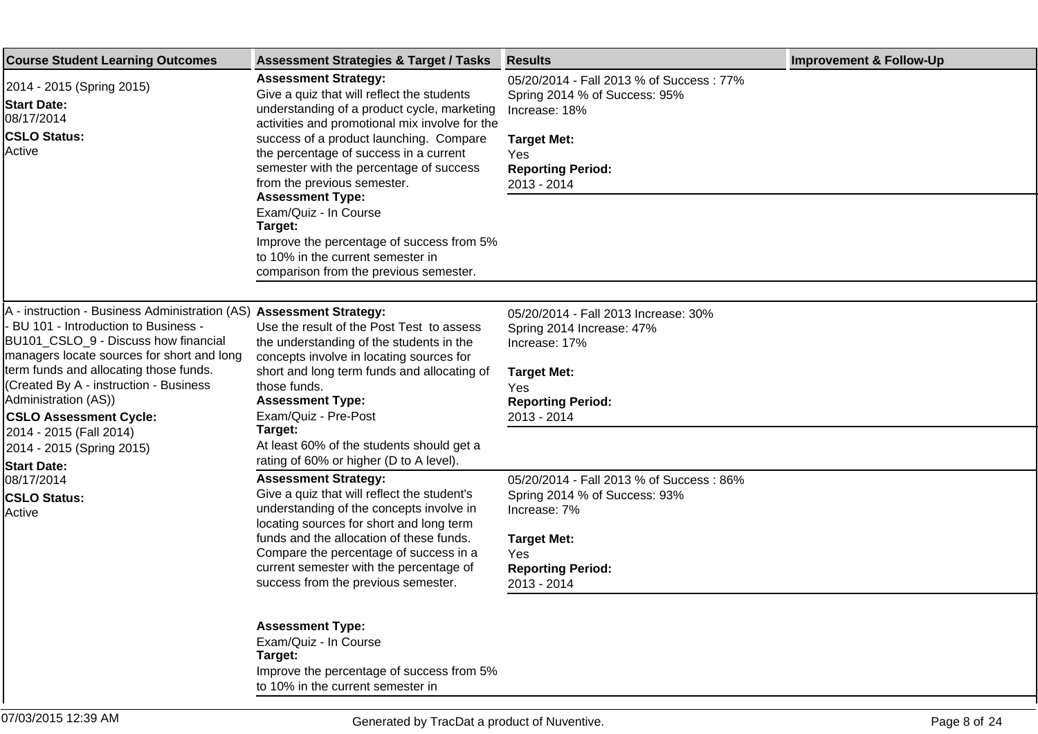| <b>Course Student Learning Outcomes</b>                                                                                                                                                                                                                                                                                                                                    | <b>Assessment Strategies &amp; Target / Tasks</b>                                                                                                                                                                                                                                                                                                                                                                                                                                                                                    | <b>Results</b>                                                                                                                                                            | <b>Improvement &amp; Follow-Up</b> |
|----------------------------------------------------------------------------------------------------------------------------------------------------------------------------------------------------------------------------------------------------------------------------------------------------------------------------------------------------------------------------|--------------------------------------------------------------------------------------------------------------------------------------------------------------------------------------------------------------------------------------------------------------------------------------------------------------------------------------------------------------------------------------------------------------------------------------------------------------------------------------------------------------------------------------|---------------------------------------------------------------------------------------------------------------------------------------------------------------------------|------------------------------------|
| 2014 - 2015 (Spring 2015)<br><b>Start Date:</b><br>08/17/2014<br><b>CSLO Status:</b><br>Active                                                                                                                                                                                                                                                                             | <b>Assessment Strategy:</b><br>Give a quiz that will reflect the students<br>understanding of a product cycle, marketing<br>activities and promotional mix involve for the<br>success of a product launching. Compare<br>the percentage of success in a current<br>semester with the percentage of success<br>from the previous semester.<br><b>Assessment Type:</b><br>Exam/Quiz - In Course<br>Target:<br>Improve the percentage of success from 5%<br>to 10% in the current semester in<br>comparison from the previous semester. | 05/20/2014 - Fall 2013 % of Success: 77%<br>Spring 2014 % of Success: 95%<br>Increase: 18%<br><b>Target Met:</b><br><b>Yes</b><br><b>Reporting Period:</b><br>2013 - 2014 |                                    |
| A - instruction - Business Administration (AS) Assessment Strategy:<br>- BU 101 - Introduction to Business -<br>BU101_CSLO_9 - Discuss how financial<br>managers locate sources for short and long<br>term funds and allocating those funds.<br>(Created By A - instruction - Business<br>Administration (AS))<br><b>CSLO Assessment Cycle:</b><br>2014 - 2015 (Fall 2014) | Use the result of the Post Test to assess<br>the understanding of the students in the<br>concepts involve in locating sources for<br>short and long term funds and allocating of<br>those funds.<br><b>Assessment Type:</b><br>Exam/Quiz - Pre-Post<br>Target:                                                                                                                                                                                                                                                                       | 05/20/2014 - Fall 2013 Increase: 30%<br>Spring 2014 Increase: 47%<br>Increase: 17%<br><b>Target Met:</b><br><b>Yes</b><br><b>Reporting Period:</b><br>2013 - 2014         |                                    |
| 2014 - 2015 (Spring 2015)                                                                                                                                                                                                                                                                                                                                                  | At least 60% of the students should get a<br>rating of 60% or higher (D to A level).                                                                                                                                                                                                                                                                                                                                                                                                                                                 |                                                                                                                                                                           |                                    |
| <b>Start Date:</b><br>08/17/2014<br><b>CSLO Status:</b><br>Active                                                                                                                                                                                                                                                                                                          | <b>Assessment Strategy:</b><br>Give a quiz that will reflect the student's<br>understanding of the concepts involve in<br>locating sources for short and long term<br>funds and the allocation of these funds.<br>Compare the percentage of success in a<br>current semester with the percentage of<br>success from the previous semester.                                                                                                                                                                                           | 05/20/2014 - Fall 2013 % of Success: 86%<br>Spring 2014 % of Success: 93%<br>Increase: 7%<br><b>Target Met:</b><br>Yes<br><b>Reporting Period:</b><br>2013 - 2014         |                                    |
|                                                                                                                                                                                                                                                                                                                                                                            | <b>Assessment Type:</b><br>Exam/Quiz - In Course<br>Target:<br>Improve the percentage of success from 5%<br>to 10% in the current semester in                                                                                                                                                                                                                                                                                                                                                                                        |                                                                                                                                                                           |                                    |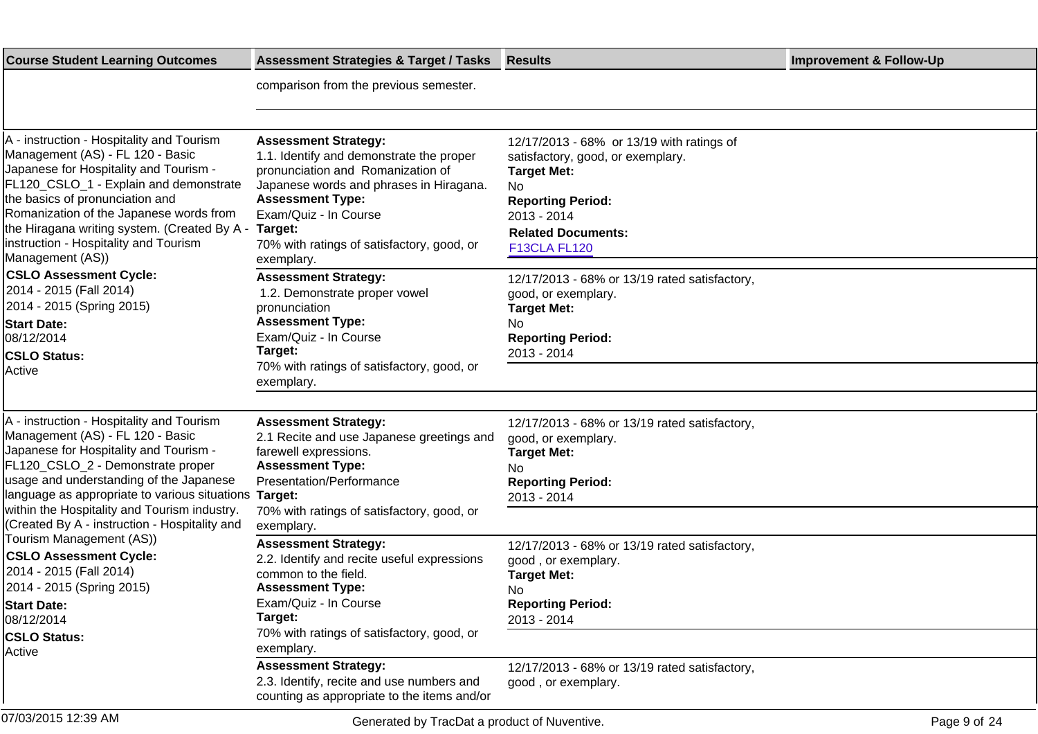| <b>Course Student Learning Outcomes</b>                                                                                                                                                                                                                                                                                                                   | <b>Assessment Strategies &amp; Target / Tasks</b>                                                                                                                                                                                                                                  | <b>Results</b>                                                                                                                                                                                                   | <b>Improvement &amp; Follow-Up</b> |
|-----------------------------------------------------------------------------------------------------------------------------------------------------------------------------------------------------------------------------------------------------------------------------------------------------------------------------------------------------------|------------------------------------------------------------------------------------------------------------------------------------------------------------------------------------------------------------------------------------------------------------------------------------|------------------------------------------------------------------------------------------------------------------------------------------------------------------------------------------------------------------|------------------------------------|
|                                                                                                                                                                                                                                                                                                                                                           | comparison from the previous semester.                                                                                                                                                                                                                                             |                                                                                                                                                                                                                  |                                    |
|                                                                                                                                                                                                                                                                                                                                                           |                                                                                                                                                                                                                                                                                    |                                                                                                                                                                                                                  |                                    |
| A - instruction - Hospitality and Tourism<br>Management (AS) - FL 120 - Basic<br>Japanese for Hospitality and Tourism -<br>FL120_CSLO_1 - Explain and demonstrate<br>the basics of pronunciation and<br>Romanization of the Japanese words from<br>the Hiragana writing system. (Created By A -<br>instruction - Hospitality and Tourism                  | <b>Assessment Strategy:</b><br>1.1. Identify and demonstrate the proper<br>pronunciation and Romanization of<br>Japanese words and phrases in Hiragana.<br><b>Assessment Type:</b><br>Exam/Quiz - In Course<br>Target:<br>70% with ratings of satisfactory, good, or<br>exemplary. | 12/17/2013 - 68% or 13/19 with ratings of<br>satisfactory, good, or exemplary.<br><b>Target Met:</b><br><b>No</b><br><b>Reporting Period:</b><br>2013 - 2014<br><b>Related Documents:</b><br><b>F13CLA FL120</b> |                                    |
| Management (AS))<br><b>CSLO Assessment Cycle:</b><br>2014 - 2015 (Fall 2014)<br>2014 - 2015 (Spring 2015)<br><b>Start Date:</b><br>08/12/2014<br><b>CSLO Status:</b><br> Active                                                                                                                                                                           | <b>Assessment Strategy:</b><br>1.2. Demonstrate proper vowel<br>pronunciation<br><b>Assessment Type:</b><br>Exam/Quiz - In Course<br>Target:<br>70% with ratings of satisfactory, good, or<br>exemplary.                                                                           | 12/17/2013 - 68% or 13/19 rated satisfactory,<br>good, or exemplary.<br><b>Target Met:</b><br>No.<br><b>Reporting Period:</b><br>2013 - 2014                                                                     |                                    |
| A - instruction - Hospitality and Tourism<br>Management (AS) - FL 120 - Basic<br>Japanese for Hospitality and Tourism -<br>FL120_CSLO_2 - Demonstrate proper<br>usage and understanding of the Japanese<br>language as appropriate to various situations<br>within the Hospitality and Tourism industry.<br>(Created By A - instruction - Hospitality and | <b>Assessment Strategy:</b><br>2.1 Recite and use Japanese greetings and<br>farewell expressions.<br><b>Assessment Type:</b><br>Presentation/Performance<br>Target:<br>70% with ratings of satisfactory, good, or<br>exemplary.                                                    | 12/17/2013 - 68% or 13/19 rated satisfactory,<br>good, or exemplary.<br><b>Target Met:</b><br>No<br><b>Reporting Period:</b><br>2013 - 2014                                                                      |                                    |
| Tourism Management (AS))<br><b>CSLO Assessment Cycle:</b><br>2014 - 2015 (Fall 2014)<br>2014 - 2015 (Spring 2015)<br><b>Start Date:</b><br>08/12/2014<br><b>CSLO Status:</b><br>Active                                                                                                                                                                    | <b>Assessment Strategy:</b><br>2.2. Identify and recite useful expressions<br>common to the field.<br><b>Assessment Type:</b><br>Exam/Quiz - In Course<br>Target:<br>70% with ratings of satisfactory, good, or<br>exemplary.                                                      | 12/17/2013 - 68% or 13/19 rated satisfactory,<br>good, or exemplary.<br><b>Target Met:</b><br>No<br><b>Reporting Period:</b><br>2013 - 2014                                                                      |                                    |
|                                                                                                                                                                                                                                                                                                                                                           | <b>Assessment Strategy:</b><br>2.3. Identify, recite and use numbers and<br>counting as appropriate to the items and/or                                                                                                                                                            | 12/17/2013 - 68% or 13/19 rated satisfactory,<br>good, or exemplary.                                                                                                                                             |                                    |
| 07/03/2015 12:39 AM                                                                                                                                                                                                                                                                                                                                       | Generated by TracDat a product of Nuventive.                                                                                                                                                                                                                                       |                                                                                                                                                                                                                  | Page 9 of 24                       |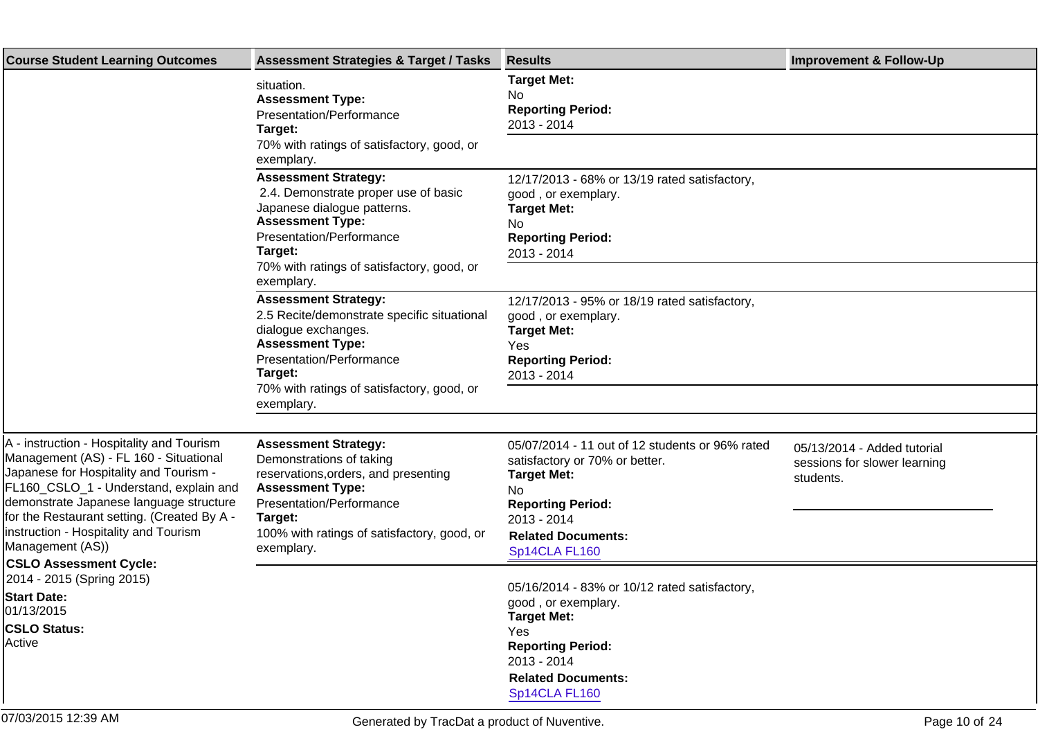| <b>Course Student Learning Outcomes</b>                                                                                                                                                                                                                                                                                        | <b>Assessment Strategies &amp; Target / Tasks</b>                                                                                                                                                                                | <b>Results</b>                                                                                                                                                                                          | <b>Improvement &amp; Follow-Up</b>                                       |
|--------------------------------------------------------------------------------------------------------------------------------------------------------------------------------------------------------------------------------------------------------------------------------------------------------------------------------|----------------------------------------------------------------------------------------------------------------------------------------------------------------------------------------------------------------------------------|---------------------------------------------------------------------------------------------------------------------------------------------------------------------------------------------------------|--------------------------------------------------------------------------|
|                                                                                                                                                                                                                                                                                                                                | situation.<br><b>Assessment Type:</b><br>Presentation/Performance<br>Target:<br>70% with ratings of satisfactory, good, or<br>exemplary.                                                                                         | <b>Target Met:</b><br>No<br><b>Reporting Period:</b><br>2013 - 2014                                                                                                                                     |                                                                          |
|                                                                                                                                                                                                                                                                                                                                | <b>Assessment Strategy:</b><br>2.4. Demonstrate proper use of basic<br>Japanese dialogue patterns.<br><b>Assessment Type:</b><br>Presentation/Performance<br>Target:<br>70% with ratings of satisfactory, good, or<br>exemplary. | 12/17/2013 - 68% or 13/19 rated satisfactory,<br>good, or exemplary.<br><b>Target Met:</b><br>No<br><b>Reporting Period:</b><br>2013 - 2014                                                             |                                                                          |
|                                                                                                                                                                                                                                                                                                                                | <b>Assessment Strategy:</b><br>2.5 Recite/demonstrate specific situational<br>dialogue exchanges.<br><b>Assessment Type:</b><br>Presentation/Performance<br>Target:<br>70% with ratings of satisfactory, good, or<br>exemplary.  | 12/17/2013 - 95% or 18/19 rated satisfactory,<br>good, or exemplary.<br><b>Target Met:</b><br>Yes<br><b>Reporting Period:</b><br>2013 - 2014                                                            |                                                                          |
| A - instruction - Hospitality and Tourism<br>Management (AS) - FL 160 - Situational<br>Japanese for Hospitality and Tourism -<br>FL160_CSLO_1 - Understand, explain and<br>demonstrate Japanese language structure<br>for the Restaurant setting. (Created By A -<br>instruction - Hospitality and Tourism<br>Management (AS)) | <b>Assessment Strategy:</b><br>Demonstrations of taking<br>reservations, orders, and presenting<br><b>Assessment Type:</b><br>Presentation/Performance<br>Target:<br>100% with ratings of satisfactory, good, or<br>exemplary.   | 05/07/2014 - 11 out of 12 students or 96% rated<br>satisfactory or 70% or better.<br><b>Target Met:</b><br>No.<br><b>Reporting Period:</b><br>2013 - 2014<br><b>Related Documents:</b><br>Sp14CLA FL160 | 05/13/2014 - Added tutorial<br>sessions for slower learning<br>students. |
| <b>CSLO Assessment Cycle:</b><br>2014 - 2015 (Spring 2015)<br><b>Start Date:</b><br>01/13/2015<br><b>CSLO Status:</b><br>Active                                                                                                                                                                                                |                                                                                                                                                                                                                                  | 05/16/2014 - 83% or 10/12 rated satisfactory,<br>good, or exemplary.<br><b>Target Met:</b><br>Yes<br><b>Reporting Period:</b><br>2013 - 2014<br><b>Related Documents:</b><br>Sp14CLA FL160              |                                                                          |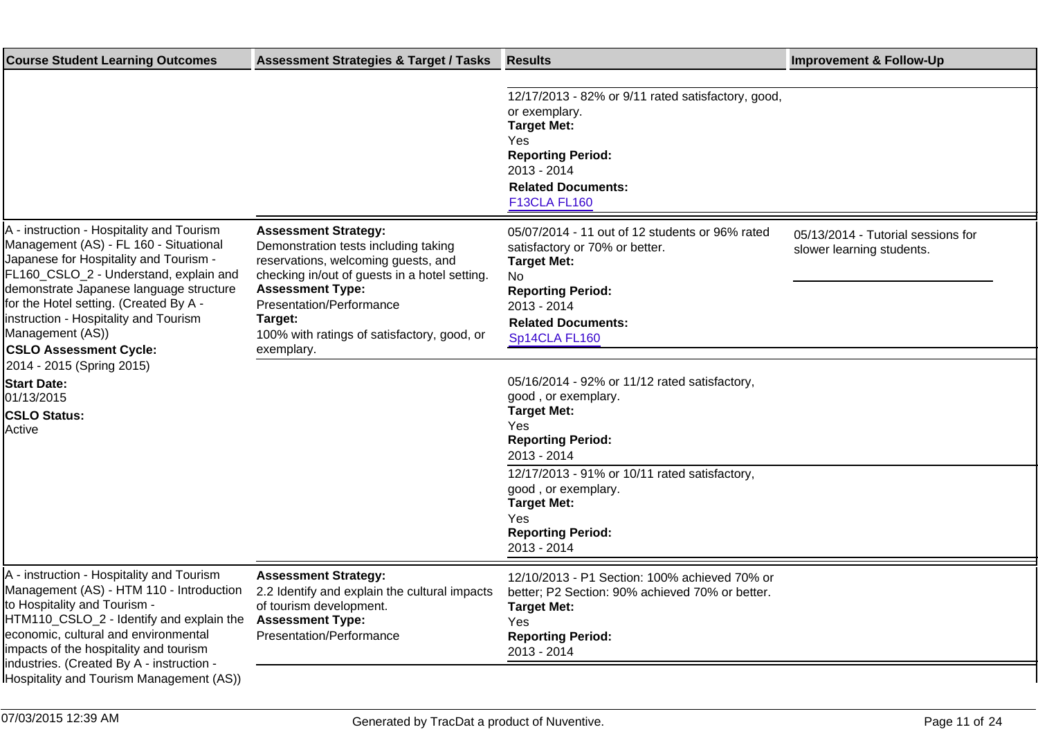| <b>Course Student Learning Outcomes</b>                                                                                                                                                                                                                                                                                                                                                                                                                      | <b>Assessment Strategies &amp; Target / Tasks</b>                                                                                                                                                                                                                                          | <b>Results</b>                                                                                                                                                                                                                                                                                                                                                                                                                                                                                         | <b>Improvement &amp; Follow-Up</b>                              |
|--------------------------------------------------------------------------------------------------------------------------------------------------------------------------------------------------------------------------------------------------------------------------------------------------------------------------------------------------------------------------------------------------------------------------------------------------------------|--------------------------------------------------------------------------------------------------------------------------------------------------------------------------------------------------------------------------------------------------------------------------------------------|--------------------------------------------------------------------------------------------------------------------------------------------------------------------------------------------------------------------------------------------------------------------------------------------------------------------------------------------------------------------------------------------------------------------------------------------------------------------------------------------------------|-----------------------------------------------------------------|
|                                                                                                                                                                                                                                                                                                                                                                                                                                                              |                                                                                                                                                                                                                                                                                            | 12/17/2013 - 82% or 9/11 rated satisfactory, good,<br>or exemplary.<br><b>Target Met:</b><br>Yes<br><b>Reporting Period:</b><br>2013 - 2014<br><b>Related Documents:</b><br><b>F13CLA FL160</b>                                                                                                                                                                                                                                                                                                        |                                                                 |
| A - instruction - Hospitality and Tourism<br>Management (AS) - FL 160 - Situational<br>Japanese for Hospitality and Tourism -<br>FL160_CSLO_2 - Understand, explain and<br>demonstrate Japanese language structure<br>for the Hotel setting. (Created By A -<br>instruction - Hospitality and Tourism<br>Management (AS))<br><b>CSLO Assessment Cycle:</b><br>2014 - 2015 (Spring 2015)<br><b>Start Date:</b><br>01/13/2015<br><b>CSLO Status:</b><br>Active | <b>Assessment Strategy:</b><br>Demonstration tests including taking<br>reservations, welcoming guests, and<br>checking in/out of guests in a hotel setting.<br><b>Assessment Type:</b><br>Presentation/Performance<br>Target:<br>100% with ratings of satisfactory, good, or<br>exemplary. | 05/07/2014 - 11 out of 12 students or 96% rated<br>satisfactory or 70% or better.<br><b>Target Met:</b><br>No<br><b>Reporting Period:</b><br>2013 - 2014<br><b>Related Documents:</b><br>Sp14CLA FL160<br>05/16/2014 - 92% or 11/12 rated satisfactory,<br>good, or exemplary.<br><b>Target Met:</b><br>Yes<br><b>Reporting Period:</b><br>2013 - 2014<br>12/17/2013 - 91% or 10/11 rated satisfactory,<br>good, or exemplary.<br><b>Target Met:</b><br>Yes<br><b>Reporting Period:</b><br>2013 - 2014 | 05/13/2014 - Tutorial sessions for<br>slower learning students. |
| A - instruction - Hospitality and Tourism<br>Management (AS) - HTM 110 - Introduction<br>to Hospitality and Tourism -<br>HTM110_CSLO_2 - Identify and explain the<br>economic, cultural and environmental<br>impacts of the hospitality and tourism<br>industries. (Created By A - instruction -<br>Hospitality and Tourism Management (AS))                                                                                                                 | <b>Assessment Strategy:</b><br>2.2 Identify and explain the cultural impacts<br>of tourism development.<br><b>Assessment Type:</b><br>Presentation/Performance                                                                                                                             | 12/10/2013 - P1 Section: 100% achieved 70% or<br>better; P2 Section: 90% achieved 70% or better.<br><b>Target Met:</b><br>Yes<br><b>Reporting Period:</b><br>2013 - 2014                                                                                                                                                                                                                                                                                                                               |                                                                 |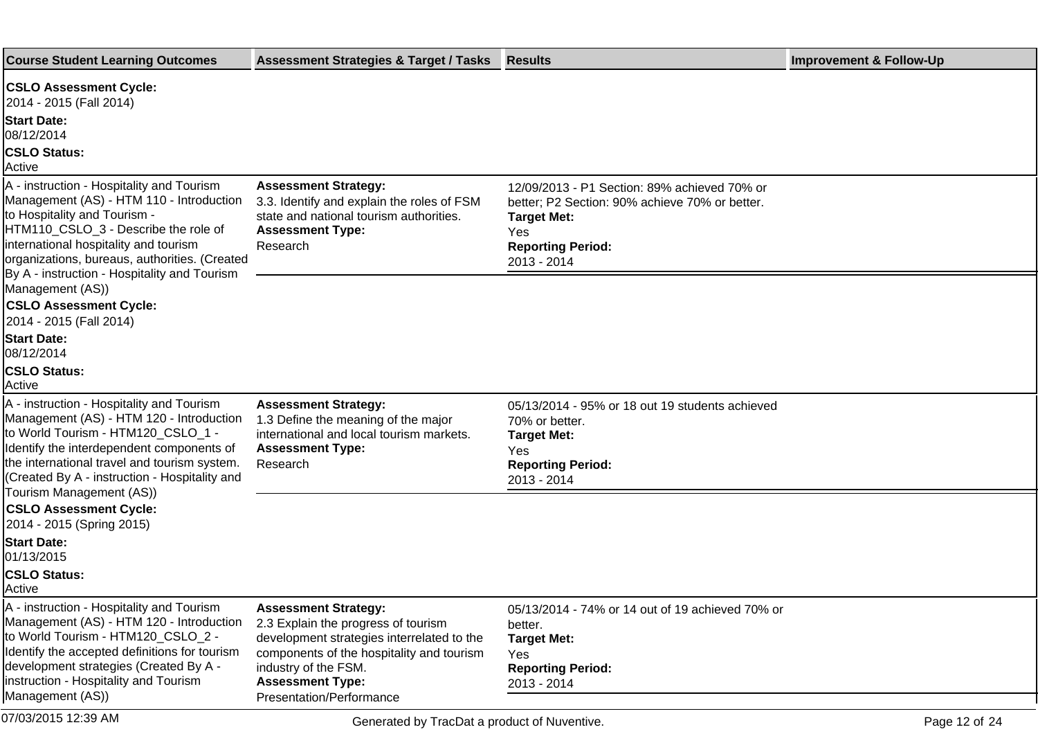| <b>Course Student Learning Outcomes</b>                                                                                                                                                                                                                                                                 | <b>Assessment Strategies &amp; Target / Tasks</b>                                                                                                                                                                                            | <b>Results</b>                                                                                                                                                         | <b>Improvement &amp; Follow-Up</b> |
|---------------------------------------------------------------------------------------------------------------------------------------------------------------------------------------------------------------------------------------------------------------------------------------------------------|----------------------------------------------------------------------------------------------------------------------------------------------------------------------------------------------------------------------------------------------|------------------------------------------------------------------------------------------------------------------------------------------------------------------------|------------------------------------|
| <b>CSLO Assessment Cycle:</b><br>2014 - 2015 (Fall 2014)<br><b>Start Date:</b><br>08/12/2014<br><b>CSLO Status:</b><br>Active                                                                                                                                                                           |                                                                                                                                                                                                                                              |                                                                                                                                                                        |                                    |
| A - instruction - Hospitality and Tourism<br>Management (AS) - HTM 110 - Introduction<br>to Hospitality and Tourism -<br>HTM110_CSLO_3 - Describe the role of<br>international hospitality and tourism<br>organizations, bureaus, authorities. (Created<br>By A - instruction - Hospitality and Tourism | <b>Assessment Strategy:</b><br>3.3. Identify and explain the roles of FSM<br>state and national tourism authorities.<br><b>Assessment Type:</b><br>Research                                                                                  | 12/09/2013 - P1 Section: 89% achieved 70% or<br>better; P2 Section: 90% achieve 70% or better.<br><b>Target Met:</b><br>Yes<br><b>Reporting Period:</b><br>2013 - 2014 |                                    |
| Management (AS))<br><b>CSLO Assessment Cycle:</b><br>2014 - 2015 (Fall 2014)                                                                                                                                                                                                                            |                                                                                                                                                                                                                                              |                                                                                                                                                                        |                                    |
| <b>Start Date:</b><br>08/12/2014                                                                                                                                                                                                                                                                        |                                                                                                                                                                                                                                              |                                                                                                                                                                        |                                    |
| <b>CSLO Status:</b><br>Active                                                                                                                                                                                                                                                                           |                                                                                                                                                                                                                                              |                                                                                                                                                                        |                                    |
| A - instruction - Hospitality and Tourism<br>Management (AS) - HTM 120 - Introduction<br>to World Tourism - HTM120_CSLO_1 -<br>Identify the interdependent components of<br>the international travel and tourism system.<br>(Created By A - instruction - Hospitality and                               | <b>Assessment Strategy:</b><br>1.3 Define the meaning of the major<br>international and local tourism markets.<br><b>Assessment Type:</b><br>Research                                                                                        | 05/13/2014 - 95% or 18 out 19 students achieved<br>70% or better.<br><b>Target Met:</b><br>Yes<br><b>Reporting Period:</b><br>2013 - 2014                              |                                    |
| Tourism Management (AS))<br><b>CSLO Assessment Cycle:</b><br>2014 - 2015 (Spring 2015)                                                                                                                                                                                                                  |                                                                                                                                                                                                                                              |                                                                                                                                                                        |                                    |
| <b>Start Date:</b><br>01/13/2015                                                                                                                                                                                                                                                                        |                                                                                                                                                                                                                                              |                                                                                                                                                                        |                                    |
| <b>CSLO Status:</b><br>Active                                                                                                                                                                                                                                                                           |                                                                                                                                                                                                                                              |                                                                                                                                                                        |                                    |
| A - instruction - Hospitality and Tourism<br>Management (AS) - HTM 120 - Introduction<br>to World Tourism - HTM120_CSLO_2 -<br>Identify the accepted definitions for tourism<br>development strategies (Created By A -<br>instruction - Hospitality and Tourism<br>Management (AS))                     | <b>Assessment Strategy:</b><br>2.3 Explain the progress of tourism<br>development strategies interrelated to the<br>components of the hospitality and tourism<br>industry of the FSM.<br><b>Assessment Type:</b><br>Presentation/Performance | 05/13/2014 - 74% or 14 out of 19 achieved 70% or<br>better.<br><b>Target Met:</b><br>Yes<br><b>Reporting Period:</b><br>2013 - 2014                                    |                                    |
| 07/03/2015 12:39 AM                                                                                                                                                                                                                                                                                     | Generated by TracDat a product of Nuventive.                                                                                                                                                                                                 |                                                                                                                                                                        | Page 12 of 24                      |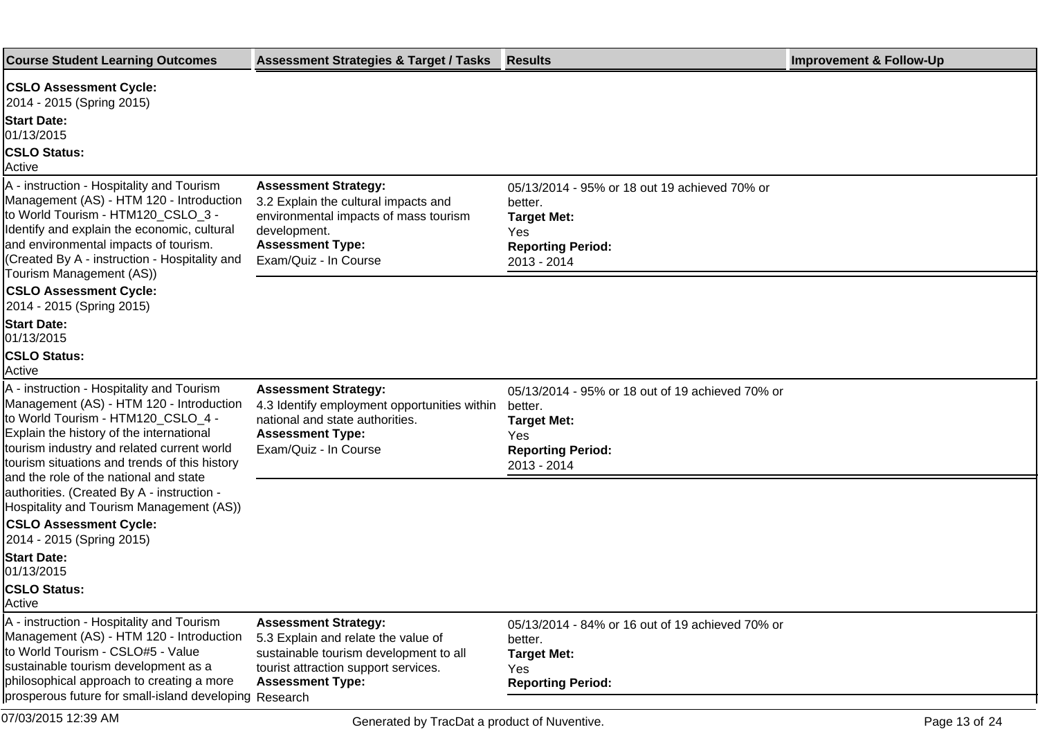| <b>Course Student Learning Outcomes</b>                                                                                                                                                                                                                                   | <b>Assessment Strategies &amp; Target / Tasks</b>                                                                                                                                | <b>Results</b>                                                                                                                      | <b>Improvement &amp; Follow-Up</b> |
|---------------------------------------------------------------------------------------------------------------------------------------------------------------------------------------------------------------------------------------------------------------------------|----------------------------------------------------------------------------------------------------------------------------------------------------------------------------------|-------------------------------------------------------------------------------------------------------------------------------------|------------------------------------|
| <b>CSLO Assessment Cycle:</b><br>2014 - 2015 (Spring 2015)<br><b>Start Date:</b><br>01/13/2015<br><b>CSLO Status:</b><br>Active                                                                                                                                           |                                                                                                                                                                                  |                                                                                                                                     |                                    |
| A - instruction - Hospitality and Tourism<br>Management (AS) - HTM 120 - Introduction<br>to World Tourism - HTM120_CSLO_3 -<br>Identify and explain the economic, cultural<br>and environmental impacts of tourism.<br>(Created By A - instruction - Hospitality and      | <b>Assessment Strategy:</b><br>3.2 Explain the cultural impacts and<br>environmental impacts of mass tourism<br>development.<br><b>Assessment Type:</b><br>Exam/Quiz - In Course | 05/13/2014 - 95% or 18 out 19 achieved 70% or<br>better.<br><b>Target Met:</b><br>Yes<br><b>Reporting Period:</b><br>2013 - 2014    |                                    |
| Tourism Management (AS))<br><b>CSLO Assessment Cycle:</b><br>2014 - 2015 (Spring 2015)<br><b>Start Date:</b><br>01/13/2015<br><b>CSLO Status:</b><br>Active                                                                                                               |                                                                                                                                                                                  |                                                                                                                                     |                                    |
| A - instruction - Hospitality and Tourism<br>Management (AS) - HTM 120 - Introduction<br>to World Tourism - HTM120_CSLO_4 -<br>Explain the history of the international<br>tourism industry and related current world<br>tourism situations and trends of this history    | <b>Assessment Strategy:</b><br>4.3 Identify employment opportunities within<br>national and state authorities.<br><b>Assessment Type:</b><br>Exam/Quiz - In Course               | 05/13/2014 - 95% or 18 out of 19 achieved 70% or<br>better.<br><b>Target Met:</b><br>Yes<br><b>Reporting Period:</b><br>2013 - 2014 |                                    |
| and the role of the national and state<br>authorities. (Created By A - instruction -<br>Hospitality and Tourism Management (AS))<br><b>CSLO Assessment Cycle:</b><br>2014 - 2015 (Spring 2015)                                                                            |                                                                                                                                                                                  |                                                                                                                                     |                                    |
| <b>Start Date:</b><br>01/13/2015<br><b>CSLO Status:</b><br>Active                                                                                                                                                                                                         |                                                                                                                                                                                  |                                                                                                                                     |                                    |
| A - instruction - Hospitality and Tourism<br>Management (AS) - HTM 120 - Introduction<br>to World Tourism - CSLO#5 - Value<br>sustainable tourism development as a<br>philosophical approach to creating a more<br>prosperous future for small-island developing Research | <b>Assessment Strategy:</b><br>5.3 Explain and relate the value of<br>sustainable tourism development to all<br>tourist attraction support services.<br><b>Assessment Type:</b>  | 05/13/2014 - 84% or 16 out of 19 achieved 70% or<br>better.<br><b>Target Met:</b><br>Yes<br><b>Reporting Period:</b>                |                                    |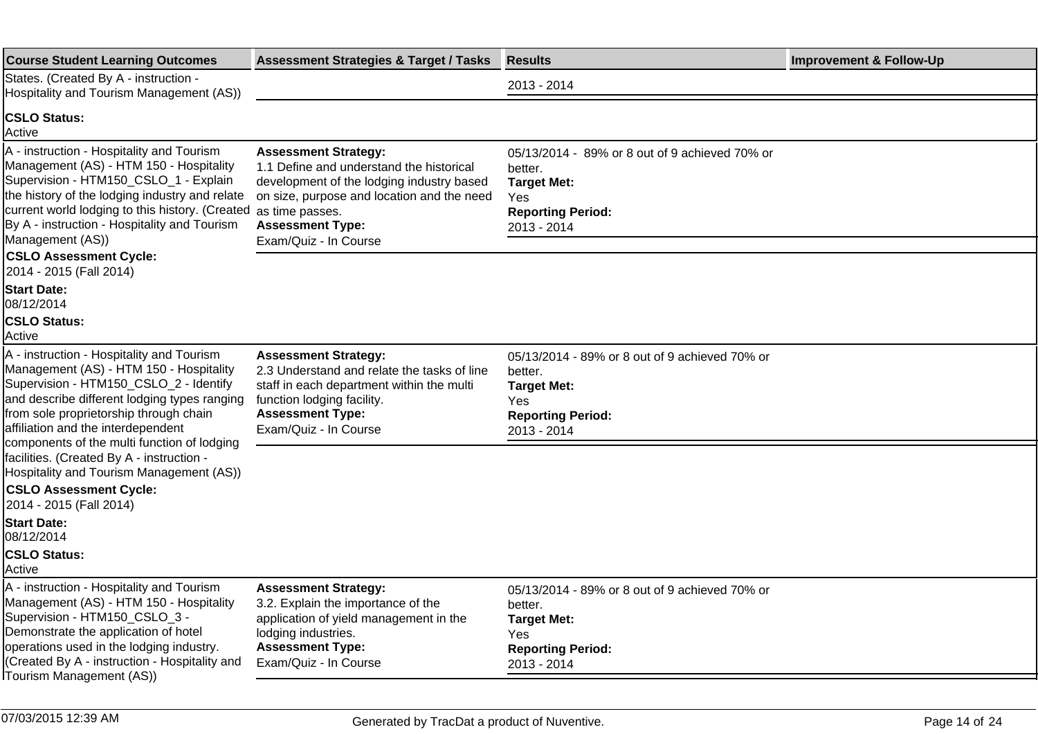| <b>Assessment Strategies &amp; Target / Tasks</b>                                                                                                                                                                                                                                         | <b>Results</b>                                                                                                                           | <b>Improvement &amp; Follow-Up</b> |
|-------------------------------------------------------------------------------------------------------------------------------------------------------------------------------------------------------------------------------------------------------------------------------------------|------------------------------------------------------------------------------------------------------------------------------------------|------------------------------------|
|                                                                                                                                                                                                                                                                                           | 2013 - 2014                                                                                                                              |                                    |
|                                                                                                                                                                                                                                                                                           |                                                                                                                                          |                                    |
| <b>Assessment Strategy:</b><br>1.1 Define and understand the historical<br>development of the lodging industry based<br>on size, purpose and location and the need<br>current world lodging to this history. (Created as time passes.<br><b>Assessment Type:</b><br>Exam/Quiz - In Course | 05/13/2014 - 89% or 8 out of 9 achieved 70% or<br>better.<br><b>Target Met:</b><br><b>Yes</b><br><b>Reporting Period:</b><br>2013 - 2014 |                                    |
|                                                                                                                                                                                                                                                                                           |                                                                                                                                          |                                    |
|                                                                                                                                                                                                                                                                                           |                                                                                                                                          |                                    |
| <b>Assessment Strategy:</b><br>2.3 Understand and relate the tasks of line<br>staff in each department within the multi<br>function lodging facility.<br><b>Assessment Type:</b><br>Exam/Quiz - In Course                                                                                 | 05/13/2014 - 89% or 8 out of 9 achieved 70% or<br>better.<br><b>Target Met:</b><br>Yes<br><b>Reporting Period:</b><br>2013 - 2014        |                                    |
|                                                                                                                                                                                                                                                                                           |                                                                                                                                          |                                    |
|                                                                                                                                                                                                                                                                                           |                                                                                                                                          |                                    |
|                                                                                                                                                                                                                                                                                           |                                                                                                                                          |                                    |
| <b>Assessment Strategy:</b><br>3.2. Explain the importance of the<br>application of yield management in the<br>lodging industries.<br><b>Assessment Type:</b><br>Exam/Quiz - In Course                                                                                                    | 05/13/2014 - 89% or 8 out of 9 achieved 70% or<br>better.<br><b>Target Met:</b><br>Yes<br><b>Reporting Period:</b><br>2013 - 2014        |                                    |
|                                                                                                                                                                                                                                                                                           |                                                                                                                                          |                                    |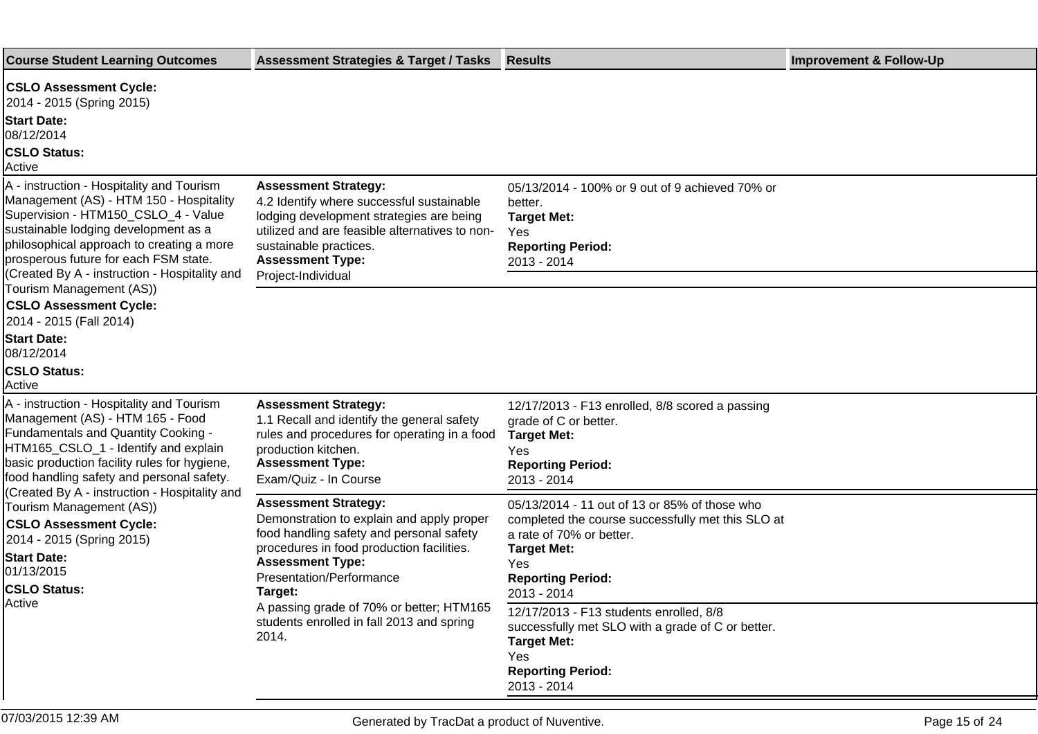| <b>Course Student Learning Outcomes</b>                                                                                                                                                                                                                                                                                                                                                                                                                         | <b>Assessment Strategies &amp; Target / Tasks</b>                                                                                                                                                                                   | <b>Results</b>                                                                                                                                                                                         | <b>Improvement &amp; Follow-Up</b> |
|-----------------------------------------------------------------------------------------------------------------------------------------------------------------------------------------------------------------------------------------------------------------------------------------------------------------------------------------------------------------------------------------------------------------------------------------------------------------|-------------------------------------------------------------------------------------------------------------------------------------------------------------------------------------------------------------------------------------|--------------------------------------------------------------------------------------------------------------------------------------------------------------------------------------------------------|------------------------------------|
| <b>CSLO Assessment Cycle:</b><br>2014 - 2015 (Spring 2015)                                                                                                                                                                                                                                                                                                                                                                                                      |                                                                                                                                                                                                                                     |                                                                                                                                                                                                        |                                    |
| <b>Start Date:</b><br>08/12/2014                                                                                                                                                                                                                                                                                                                                                                                                                                |                                                                                                                                                                                                                                     |                                                                                                                                                                                                        |                                    |
| <b>CSLO Status:</b><br>Active                                                                                                                                                                                                                                                                                                                                                                                                                                   |                                                                                                                                                                                                                                     |                                                                                                                                                                                                        |                                    |
| A - instruction - Hospitality and Tourism<br>Management (AS) - HTM 150 - Hospitality<br>Supervision - HTM150_CSLO_4 - Value<br>sustainable lodging development as a<br>philosophical approach to creating a more<br>prosperous future for each FSM state.                                                                                                                                                                                                       | <b>Assessment Strategy:</b><br>4.2 Identify where successful sustainable<br>lodging development strategies are being<br>utilized and are feasible alternatives to non-<br>sustainable practices.<br><b>Assessment Type:</b>         | 05/13/2014 - 100% or 9 out of 9 achieved 70% or<br>better.<br><b>Target Met:</b><br>Yes<br><b>Reporting Period:</b><br>2013 - 2014                                                                     |                                    |
| (Created By A - instruction - Hospitality and<br>Tourism Management (AS))<br><b>CSLO Assessment Cycle:</b><br>2014 - 2015 (Fall 2014)                                                                                                                                                                                                                                                                                                                           | Project-Individual                                                                                                                                                                                                                  |                                                                                                                                                                                                        |                                    |
| <b>Start Date:</b><br>08/12/2014<br><b>CSLO Status:</b><br>Active                                                                                                                                                                                                                                                                                                                                                                                               |                                                                                                                                                                                                                                     |                                                                                                                                                                                                        |                                    |
| A - instruction - Hospitality and Tourism<br>Management (AS) - HTM 165 - Food<br>Fundamentals and Quantity Cooking -<br>HTM165_CSLO_1 - Identify and explain<br>basic production facility rules for hygiene,<br>food handling safety and personal safety.<br>(Created By A - instruction - Hospitality and<br>Tourism Management (AS))<br><b>CSLO Assessment Cycle:</b><br>2014 - 2015 (Spring 2015)<br><b>Start Date:</b><br>01/13/2015<br><b>CSLO Status:</b> | <b>Assessment Strategy:</b><br>1.1 Recall and identify the general safety<br>rules and procedures for operating in a food<br>production kitchen.<br><b>Assessment Type:</b><br>Exam/Quiz - In Course                                | 12/17/2013 - F13 enrolled, 8/8 scored a passing<br>grade of C or better.<br><b>Target Met:</b><br>Yes<br><b>Reporting Period:</b><br>2013 - 2014                                                       |                                    |
|                                                                                                                                                                                                                                                                                                                                                                                                                                                                 | <b>Assessment Strategy:</b><br>Demonstration to explain and apply proper<br>food handling safety and personal safety<br>procedures in food production facilities.<br><b>Assessment Type:</b><br>Presentation/Performance<br>Target: | 05/13/2014 - 11 out of 13 or 85% of those who<br>completed the course successfully met this SLO at<br>a rate of 70% or better.<br><b>Target Met:</b><br>Yes<br><b>Reporting Period:</b><br>2013 - 2014 |                                    |
| Active                                                                                                                                                                                                                                                                                                                                                                                                                                                          | A passing grade of 70% or better; HTM165<br>students enrolled in fall 2013 and spring<br>2014.                                                                                                                                      | 12/17/2013 - F13 students enrolled, 8/8<br>successfully met SLO with a grade of C or better.<br><b>Target Met:</b><br>Yes<br><b>Reporting Period:</b><br>2013 - 2014                                   |                                    |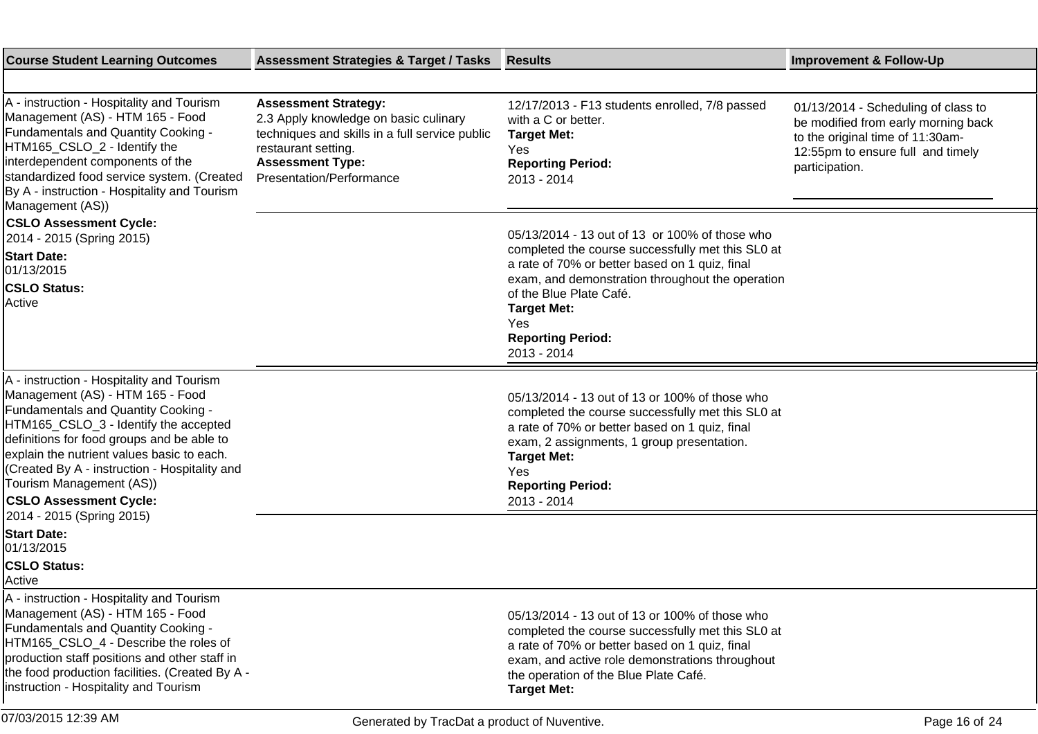| <b>Course Student Learning Outcomes</b>                                                                                                                                                                                                                                                                                                                                                              | <b>Assessment Strategies &amp; Target / Tasks</b>                                                                                                                                                    | <b>Results</b>                                                                                                                                                                                                                                                              | <b>Improvement &amp; Follow-Up</b>                                                                                                                                    |
|------------------------------------------------------------------------------------------------------------------------------------------------------------------------------------------------------------------------------------------------------------------------------------------------------------------------------------------------------------------------------------------------------|------------------------------------------------------------------------------------------------------------------------------------------------------------------------------------------------------|-----------------------------------------------------------------------------------------------------------------------------------------------------------------------------------------------------------------------------------------------------------------------------|-----------------------------------------------------------------------------------------------------------------------------------------------------------------------|
|                                                                                                                                                                                                                                                                                                                                                                                                      |                                                                                                                                                                                                      |                                                                                                                                                                                                                                                                             |                                                                                                                                                                       |
| A - instruction - Hospitality and Tourism<br>Management (AS) - HTM 165 - Food<br>Fundamentals and Quantity Cooking -<br>HTM165_CSLO_2 - Identify the<br>interdependent components of the<br>standardized food service system. (Created<br>By A - instruction - Hospitality and Tourism<br>Management (AS))                                                                                           | <b>Assessment Strategy:</b><br>2.3 Apply knowledge on basic culinary<br>techniques and skills in a full service public<br>restaurant setting.<br><b>Assessment Type:</b><br>Presentation/Performance | 12/17/2013 - F13 students enrolled, 7/8 passed<br>with a C or better.<br><b>Target Met:</b><br>Yes<br><b>Reporting Period:</b><br>2013 - 2014                                                                                                                               | 01/13/2014 - Scheduling of class to<br>be modified from early morning back<br>to the original time of 11:30am-<br>12:55pm to ensure full and timely<br>participation. |
| <b>CSLO Assessment Cycle:</b><br>2014 - 2015 (Spring 2015)                                                                                                                                                                                                                                                                                                                                           |                                                                                                                                                                                                      | 05/13/2014 - 13 out of 13 or 100% of those who                                                                                                                                                                                                                              |                                                                                                                                                                       |
| <b>Start Date:</b><br>01/13/2015                                                                                                                                                                                                                                                                                                                                                                     |                                                                                                                                                                                                      | completed the course successfully met this SL0 at<br>a rate of 70% or better based on 1 quiz, final<br>exam, and demonstration throughout the operation                                                                                                                     |                                                                                                                                                                       |
| <b>CSLO Status:</b><br>Active                                                                                                                                                                                                                                                                                                                                                                        |                                                                                                                                                                                                      | of the Blue Plate Café.<br><b>Target Met:</b><br>Yes<br><b>Reporting Period:</b><br>2013 - 2014                                                                                                                                                                             |                                                                                                                                                                       |
| A - instruction - Hospitality and Tourism<br>Management (AS) - HTM 165 - Food<br>Fundamentals and Quantity Cooking -<br>HTM165_CSLO_3 - Identify the accepted<br>definitions for food groups and be able to<br>explain the nutrient values basic to each.<br>(Created By A - instruction - Hospitality and<br>Tourism Management (AS))<br><b>CSLO Assessment Cycle:</b><br>2014 - 2015 (Spring 2015) |                                                                                                                                                                                                      | 05/13/2014 - 13 out of 13 or 100% of those who<br>completed the course successfully met this SL0 at<br>a rate of 70% or better based on 1 quiz, final<br>exam, 2 assignments, 1 group presentation.<br><b>Target Met:</b><br>Yes<br><b>Reporting Period:</b><br>2013 - 2014 |                                                                                                                                                                       |
| <b>Start Date:</b><br>01/13/2015                                                                                                                                                                                                                                                                                                                                                                     |                                                                                                                                                                                                      |                                                                                                                                                                                                                                                                             |                                                                                                                                                                       |
| <b>CSLO Status:</b><br>Active                                                                                                                                                                                                                                                                                                                                                                        |                                                                                                                                                                                                      |                                                                                                                                                                                                                                                                             |                                                                                                                                                                       |
| A - instruction - Hospitality and Tourism<br>Management (AS) - HTM 165 - Food<br>Fundamentals and Quantity Cooking -<br>HTM165 CSLO 4 - Describe the roles of<br>production staff positions and other staff in<br>the food production facilities. (Created By A -<br>instruction - Hospitality and Tourism                                                                                           |                                                                                                                                                                                                      | 05/13/2014 - 13 out of 13 or 100% of those who<br>completed the course successfully met this SL0 at<br>a rate of 70% or better based on 1 quiz, final<br>exam, and active role demonstrations throughout<br>the operation of the Blue Plate Café.<br><b>Target Met:</b>     |                                                                                                                                                                       |
| 07/03/2015 12:39 AM                                                                                                                                                                                                                                                                                                                                                                                  | Generated by TracDat a product of Nuventive.                                                                                                                                                         |                                                                                                                                                                                                                                                                             | Page 16 of 24                                                                                                                                                         |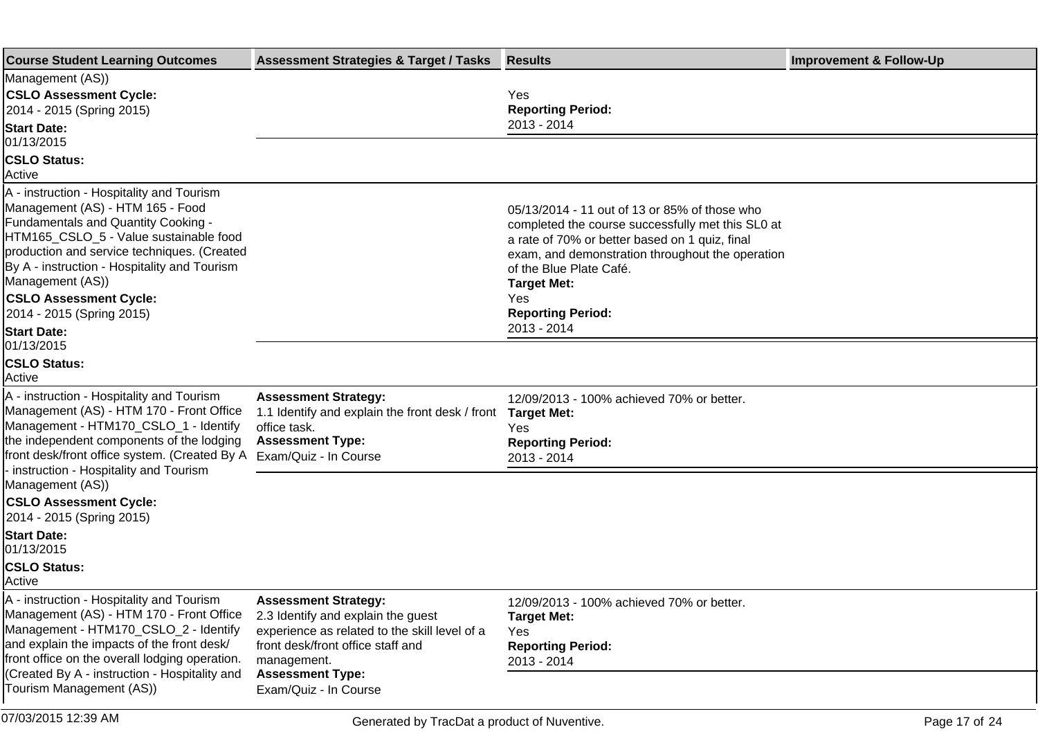| <b>Course Student Learning Outcomes</b>                                                                                                                                                                                                                                                                                                         | <b>Assessment Strategies &amp; Target / Tasks</b>                                                                                                                                                 | <b>Results</b>                                                                                                                                                                                                                                                                                              | <b>Improvement &amp; Follow-Up</b> |
|-------------------------------------------------------------------------------------------------------------------------------------------------------------------------------------------------------------------------------------------------------------------------------------------------------------------------------------------------|---------------------------------------------------------------------------------------------------------------------------------------------------------------------------------------------------|-------------------------------------------------------------------------------------------------------------------------------------------------------------------------------------------------------------------------------------------------------------------------------------------------------------|------------------------------------|
| Management (AS))<br><b>CSLO Assessment Cycle:</b><br>2014 - 2015 (Spring 2015)<br><b>Start Date:</b>                                                                                                                                                                                                                                            |                                                                                                                                                                                                   | Yes<br><b>Reporting Period:</b><br>2013 - 2014                                                                                                                                                                                                                                                              |                                    |
| 01/13/2015<br><b>CSLO Status:</b><br>Active                                                                                                                                                                                                                                                                                                     |                                                                                                                                                                                                   |                                                                                                                                                                                                                                                                                                             |                                    |
| A - instruction - Hospitality and Tourism<br>Management (AS) - HTM 165 - Food<br>Fundamentals and Quantity Cooking -<br>HTM165_CSLO_5 - Value sustainable food<br>production and service techniques. (Created<br>By A - instruction - Hospitality and Tourism<br>Management (AS))<br><b>CSLO Assessment Cycle:</b><br>2014 - 2015 (Spring 2015) |                                                                                                                                                                                                   | 05/13/2014 - 11 out of 13 or 85% of those who<br>completed the course successfully met this SL0 at<br>a rate of 70% or better based on 1 quiz, final<br>exam, and demonstration throughout the operation<br>of the Blue Plate Café.<br><b>Target Met:</b><br>Yes<br><b>Reporting Period:</b><br>2013 - 2014 |                                    |
| <b>Start Date:</b><br>01/13/2015<br><b>CSLO Status:</b><br>Active                                                                                                                                                                                                                                                                               |                                                                                                                                                                                                   |                                                                                                                                                                                                                                                                                                             |                                    |
| A - instruction - Hospitality and Tourism<br>Management (AS) - HTM 170 - Front Office<br>Management - HTM170_CSLO_1 - Identify<br>the independent components of the lodging<br>front desk/front office system. (Created By A                                                                                                                    | <b>Assessment Strategy:</b><br>1.1 Identify and explain the front desk / front<br>office task.<br><b>Assessment Type:</b><br>Exam/Quiz - In Course                                                | 12/09/2013 - 100% achieved 70% or better.<br><b>Target Met:</b><br>Yes<br><b>Reporting Period:</b><br>2013 - 2014                                                                                                                                                                                           |                                    |
| - instruction - Hospitality and Tourism<br>Management (AS))<br><b>CSLO Assessment Cycle:</b><br>2014 - 2015 (Spring 2015)                                                                                                                                                                                                                       |                                                                                                                                                                                                   |                                                                                                                                                                                                                                                                                                             |                                    |
| <b>Start Date:</b><br>01/13/2015<br><b>CSLO Status:</b><br>Active                                                                                                                                                                                                                                                                               |                                                                                                                                                                                                   |                                                                                                                                                                                                                                                                                                             |                                    |
| A - instruction - Hospitality and Tourism<br>Management (AS) - HTM 170 - Front Office<br>Management - HTM170_CSLO_2 - Identify<br>and explain the impacts of the front desk/<br>front office on the overall lodging operation.<br>(Created By A - instruction - Hospitality and                                                                 | <b>Assessment Strategy:</b><br>2.3 Identify and explain the guest<br>experience as related to the skill level of a<br>front desk/front office staff and<br>management.<br><b>Assessment Type:</b> | 12/09/2013 - 100% achieved 70% or better.<br><b>Target Met:</b><br><b>Yes</b><br><b>Reporting Period:</b><br>2013 - 2014                                                                                                                                                                                    |                                    |
| Tourism Management (AS))                                                                                                                                                                                                                                                                                                                        | Exam/Quiz - In Course                                                                                                                                                                             |                                                                                                                                                                                                                                                                                                             |                                    |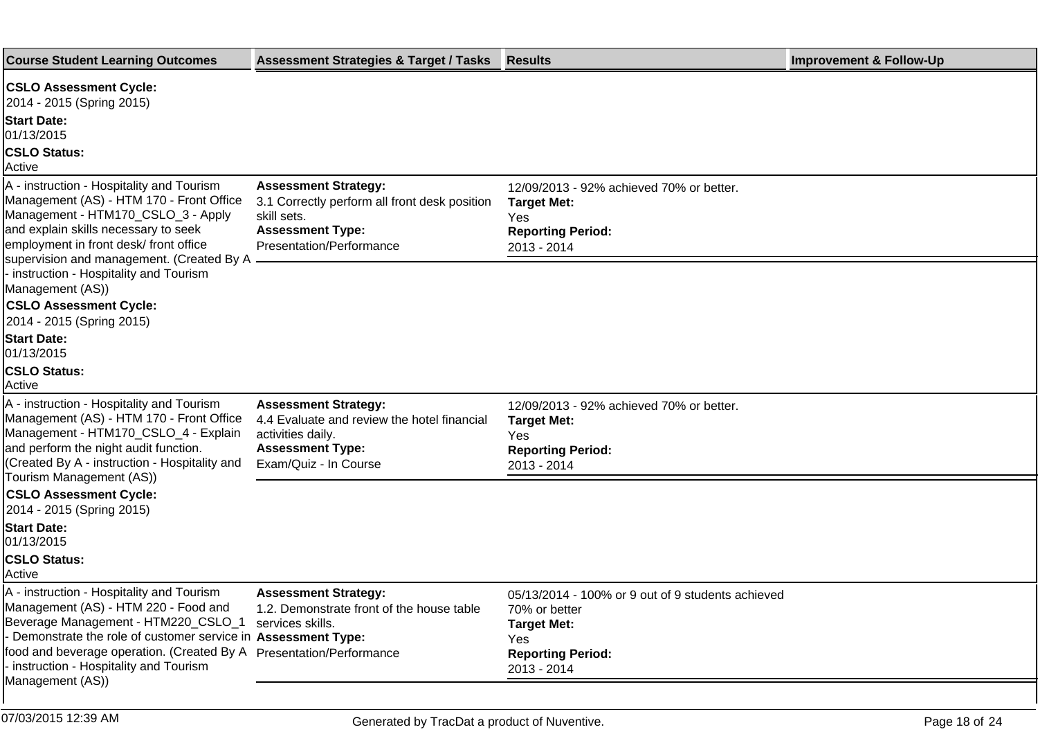| <b>Course Student Learning Outcomes</b>                                                                                                                                                                                                                                                                      | <b>Assessment Strategies &amp; Target / Tasks</b>                                                                                                         | <b>Results</b>                                                                                                                             | <b>Improvement &amp; Follow-Up</b> |
|--------------------------------------------------------------------------------------------------------------------------------------------------------------------------------------------------------------------------------------------------------------------------------------------------------------|-----------------------------------------------------------------------------------------------------------------------------------------------------------|--------------------------------------------------------------------------------------------------------------------------------------------|------------------------------------|
| <b>CSLO Assessment Cycle:</b>                                                                                                                                                                                                                                                                                |                                                                                                                                                           |                                                                                                                                            |                                    |
| 2014 - 2015 (Spring 2015)                                                                                                                                                                                                                                                                                    |                                                                                                                                                           |                                                                                                                                            |                                    |
| <b>Start Date:</b><br>01/13/2015                                                                                                                                                                                                                                                                             |                                                                                                                                                           |                                                                                                                                            |                                    |
| <b>CSLO Status:</b><br>Active                                                                                                                                                                                                                                                                                |                                                                                                                                                           |                                                                                                                                            |                                    |
| A - instruction - Hospitality and Tourism<br>Management (AS) - HTM 170 - Front Office<br>Management - HTM170_CSLO_3 - Apply<br>and explain skills necessary to seek<br>employment in front desk/front office                                                                                                 | <b>Assessment Strategy:</b><br>3.1 Correctly perform all front desk position<br>skill sets.<br><b>Assessment Type:</b><br><b>Presentation/Performance</b> | 12/09/2013 - 92% achieved 70% or better.<br><b>Target Met:</b><br>Yes<br><b>Reporting Period:</b><br>2013 - 2014                           |                                    |
| supervision and management. (Created By A<br>- instruction - Hospitality and Tourism<br>Management (AS))<br><b>CSLO Assessment Cycle:</b><br>2014 - 2015 (Spring 2015)                                                                                                                                       |                                                                                                                                                           |                                                                                                                                            |                                    |
| <b>Start Date:</b><br>01/13/2015                                                                                                                                                                                                                                                                             |                                                                                                                                                           |                                                                                                                                            |                                    |
| <b>CSLO Status:</b><br>Active                                                                                                                                                                                                                                                                                |                                                                                                                                                           |                                                                                                                                            |                                    |
| A - instruction - Hospitality and Tourism<br>Management (AS) - HTM 170 - Front Office<br>Management - HTM170_CSLO_4 - Explain<br>and perform the night audit function.<br>(Created By A - instruction - Hospitality and                                                                                      | <b>Assessment Strategy:</b><br>4.4 Evaluate and review the hotel financial<br>activities daily.<br><b>Assessment Type:</b><br>Exam/Quiz - In Course       | 12/09/2013 - 92% achieved 70% or better.<br><b>Target Met:</b><br>Yes<br><b>Reporting Period:</b><br>2013 - 2014                           |                                    |
| Tourism Management (AS))<br><b>CSLO Assessment Cycle:</b><br>2014 - 2015 (Spring 2015)                                                                                                                                                                                                                       |                                                                                                                                                           |                                                                                                                                            |                                    |
| <b>Start Date:</b><br>01/13/2015                                                                                                                                                                                                                                                                             |                                                                                                                                                           |                                                                                                                                            |                                    |
| <b>CSLO Status:</b><br>Active                                                                                                                                                                                                                                                                                |                                                                                                                                                           |                                                                                                                                            |                                    |
| A - instruction - Hospitality and Tourism<br>Management (AS) - HTM 220 - Food and<br>Beverage Management - HTM220_CSLO_1<br>- Demonstrate the role of customer service in Assessment Type:<br>food and beverage operation. (Created By A Presentation/Performance<br>- instruction - Hospitality and Tourism | <b>Assessment Strategy:</b><br>1.2. Demonstrate front of the house table<br>services skills.                                                              | 05/13/2014 - 100% or 9 out of 9 students achieved<br>70% or better<br><b>Target Met:</b><br>Yes<br><b>Reporting Period:</b><br>2013 - 2014 |                                    |
| Management (AS))                                                                                                                                                                                                                                                                                             |                                                                                                                                                           |                                                                                                                                            |                                    |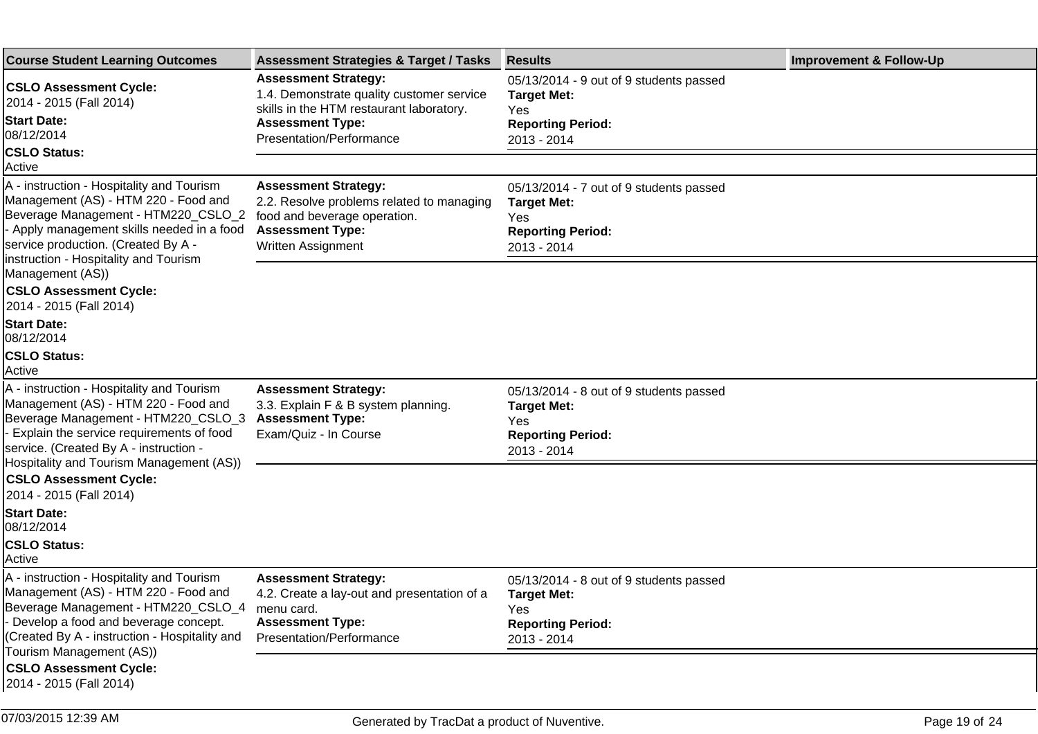| <b>Course Student Learning Outcomes</b>                                                                                                                                                                                                                      | <b>Assessment Strategies &amp; Target / Tasks</b>                                                                                                         | <b>Results</b>                                                                                                  | <b>Improvement &amp; Follow-Up</b> |
|--------------------------------------------------------------------------------------------------------------------------------------------------------------------------------------------------------------------------------------------------------------|-----------------------------------------------------------------------------------------------------------------------------------------------------------|-----------------------------------------------------------------------------------------------------------------|------------------------------------|
| <b>CSLO Assessment Cycle:</b><br>2014 - 2015 (Fall 2014)                                                                                                                                                                                                     | <b>Assessment Strategy:</b><br>1.4. Demonstrate quality customer service<br>skills in the HTM restaurant laboratory.                                      | 05/13/2014 - 9 out of 9 students passed<br><b>Target Met:</b><br>Yes                                            |                                    |
| <b>Start Date:</b><br>08/12/2014                                                                                                                                                                                                                             | <b>Assessment Type:</b><br>Presentation/Performance                                                                                                       | <b>Reporting Period:</b><br>2013 - 2014                                                                         |                                    |
| <b>CSLO Status:</b><br>Active                                                                                                                                                                                                                                |                                                                                                                                                           |                                                                                                                 |                                    |
| A - instruction - Hospitality and Tourism<br>Management (AS) - HTM 220 - Food and<br>Beverage Management - HTM220_CSLO_2<br>- Apply management skills needed in a food<br>service production. (Created By A -                                                | <b>Assessment Strategy:</b><br>2.2. Resolve problems related to managing<br>food and beverage operation.<br><b>Assessment Type:</b><br>Written Assignment | 05/13/2014 - 7 out of 9 students passed<br><b>Target Met:</b><br>Yes<br><b>Reporting Period:</b><br>2013 - 2014 |                                    |
| Instruction - Hospitality and Tourism<br>Management (AS))<br><b>CSLO Assessment Cycle:</b><br>2014 - 2015 (Fall 2014)                                                                                                                                        |                                                                                                                                                           |                                                                                                                 |                                    |
| <b>Start Date:</b><br>08/12/2014                                                                                                                                                                                                                             |                                                                                                                                                           |                                                                                                                 |                                    |
| <b>CSLO Status:</b><br>Active                                                                                                                                                                                                                                |                                                                                                                                                           |                                                                                                                 |                                    |
| A - instruction - Hospitality and Tourism<br>Management (AS) - HTM 220 - Food and<br>Beverage Management - HTM220_CSLO_3<br>- Explain the service requirements of food<br>service. (Created By A - instruction -<br>Hospitality and Tourism Management (AS)) | <b>Assessment Strategy:</b><br>3.3. Explain F & B system planning.<br><b>Assessment Type:</b><br>Exam/Quiz - In Course                                    | 05/13/2014 - 8 out of 9 students passed<br><b>Target Met:</b><br>Yes<br><b>Reporting Period:</b><br>2013 - 2014 |                                    |
| <b>CSLO Assessment Cycle:</b><br>2014 - 2015 (Fall 2014)                                                                                                                                                                                                     |                                                                                                                                                           |                                                                                                                 |                                    |
| <b>Start Date:</b><br>08/12/2014                                                                                                                                                                                                                             |                                                                                                                                                           |                                                                                                                 |                                    |
| <b>CSLO Status:</b><br>Active                                                                                                                                                                                                                                |                                                                                                                                                           |                                                                                                                 |                                    |
| A - instruction - Hospitality and Tourism<br>Management (AS) - HTM 220 - Food and<br>Beverage Management - HTM220_CSLO_4<br>- Develop a food and beverage concept.<br>(Created By A - instruction - Hospitality and<br>Tourism Management (AS))              | <b>Assessment Strategy:</b><br>4.2. Create a lay-out and presentation of a<br>menu card.<br><b>Assessment Type:</b><br>Presentation/Performance           | 05/13/2014 - 8 out of 9 students passed<br><b>Target Met:</b><br>Yes<br><b>Reporting Period:</b><br>2013 - 2014 |                                    |
| <b>CSLO Assessment Cycle:</b><br>2014 - 2015 (Fall 2014)                                                                                                                                                                                                     |                                                                                                                                                           |                                                                                                                 |                                    |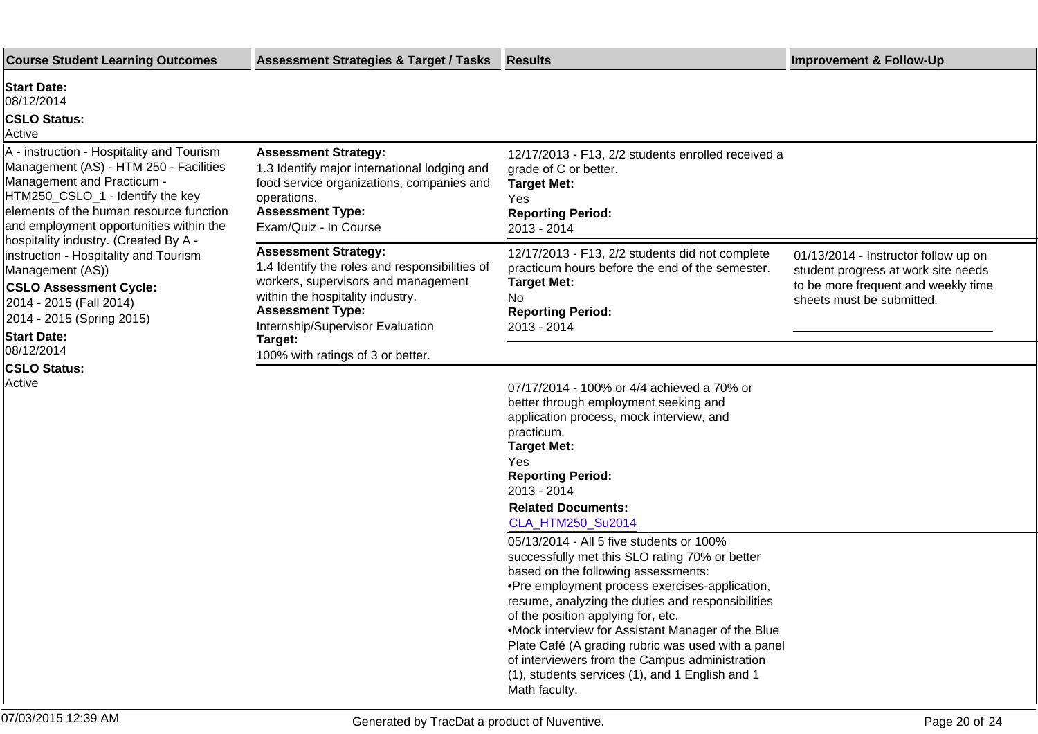| <b>Course Student Learning Outcomes</b>                                                                                                                                                                                                                                                                                                                                                                                                                          | <b>Assessment Strategies &amp; Target / Tasks</b>                                                                                                                                                                                  | Results                                                                                                                                                                                                                                                                                                                                                                                                                                                                                                           | <b>Improvement &amp; Follow-Up</b>                                                                                                              |
|------------------------------------------------------------------------------------------------------------------------------------------------------------------------------------------------------------------------------------------------------------------------------------------------------------------------------------------------------------------------------------------------------------------------------------------------------------------|------------------------------------------------------------------------------------------------------------------------------------------------------------------------------------------------------------------------------------|-------------------------------------------------------------------------------------------------------------------------------------------------------------------------------------------------------------------------------------------------------------------------------------------------------------------------------------------------------------------------------------------------------------------------------------------------------------------------------------------------------------------|-------------------------------------------------------------------------------------------------------------------------------------------------|
| <b>Start Date:</b><br>08/12/2014<br><b>CSLO Status:</b><br>Active                                                                                                                                                                                                                                                                                                                                                                                                |                                                                                                                                                                                                                                    |                                                                                                                                                                                                                                                                                                                                                                                                                                                                                                                   |                                                                                                                                                 |
| A - instruction - Hospitality and Tourism<br>Management (AS) - HTM 250 - Facilities<br>Management and Practicum -<br>HTM250_CSLO_1 - Identify the key<br>elements of the human resource function<br>and employment opportunities within the<br>hospitality industry. (Created By A -<br>instruction - Hospitality and Tourism<br>Management (AS))<br><b>CSLO Assessment Cycle:</b><br>2014 - 2015 (Fall 2014)<br>2014 - 2015 (Spring 2015)<br><b>Start Date:</b> | <b>Assessment Strategy:</b><br>1.3 Identify major international lodging and<br>food service organizations, companies and<br>operations.<br><b>Assessment Type:</b><br>Exam/Quiz - In Course                                        | 12/17/2013 - F13, 2/2 students enrolled received a<br>grade of C or better.<br><b>Target Met:</b><br>Yes<br><b>Reporting Period:</b><br>2013 - 2014                                                                                                                                                                                                                                                                                                                                                               |                                                                                                                                                 |
|                                                                                                                                                                                                                                                                                                                                                                                                                                                                  | <b>Assessment Strategy:</b><br>1.4 Identify the roles and responsibilities of<br>workers, supervisors and management<br>within the hospitality industry.<br><b>Assessment Type:</b><br>Internship/Supervisor Evaluation<br>Target: | 12/17/2013 - F13, 2/2 students did not complete<br>practicum hours before the end of the semester.<br><b>Target Met:</b><br>No<br><b>Reporting Period:</b><br>2013 - 2014                                                                                                                                                                                                                                                                                                                                         | 01/13/2014 - Instructor follow up on<br>student progress at work site needs<br>to be more frequent and weekly time<br>sheets must be submitted. |
| 08/12/2014                                                                                                                                                                                                                                                                                                                                                                                                                                                       | 100% with ratings of 3 or better.                                                                                                                                                                                                  |                                                                                                                                                                                                                                                                                                                                                                                                                                                                                                                   |                                                                                                                                                 |
| <b>CSLO Status:</b><br>Active                                                                                                                                                                                                                                                                                                                                                                                                                                    |                                                                                                                                                                                                                                    | 07/17/2014 - 100% or 4/4 achieved a 70% or<br>better through employment seeking and<br>application process, mock interview, and<br>practicum.<br><b>Target Met:</b><br>Yes<br><b>Reporting Period:</b><br>2013 - 2014<br><b>Related Documents:</b><br>CLA_HTM250_Su2014                                                                                                                                                                                                                                           |                                                                                                                                                 |
|                                                                                                                                                                                                                                                                                                                                                                                                                                                                  |                                                                                                                                                                                                                                    | 05/13/2014 - All 5 five students or 100%<br>successfully met this SLO rating 70% or better<br>based on the following assessments:<br>• Pre employment process exercises-application,<br>resume, analyzing the duties and responsibilities<br>of the position applying for, etc.<br>• Mock interview for Assistant Manager of the Blue<br>Plate Café (A grading rubric was used with a panel<br>of interviewers from the Campus administration<br>(1), students services (1), and 1 English and 1<br>Math faculty. |                                                                                                                                                 |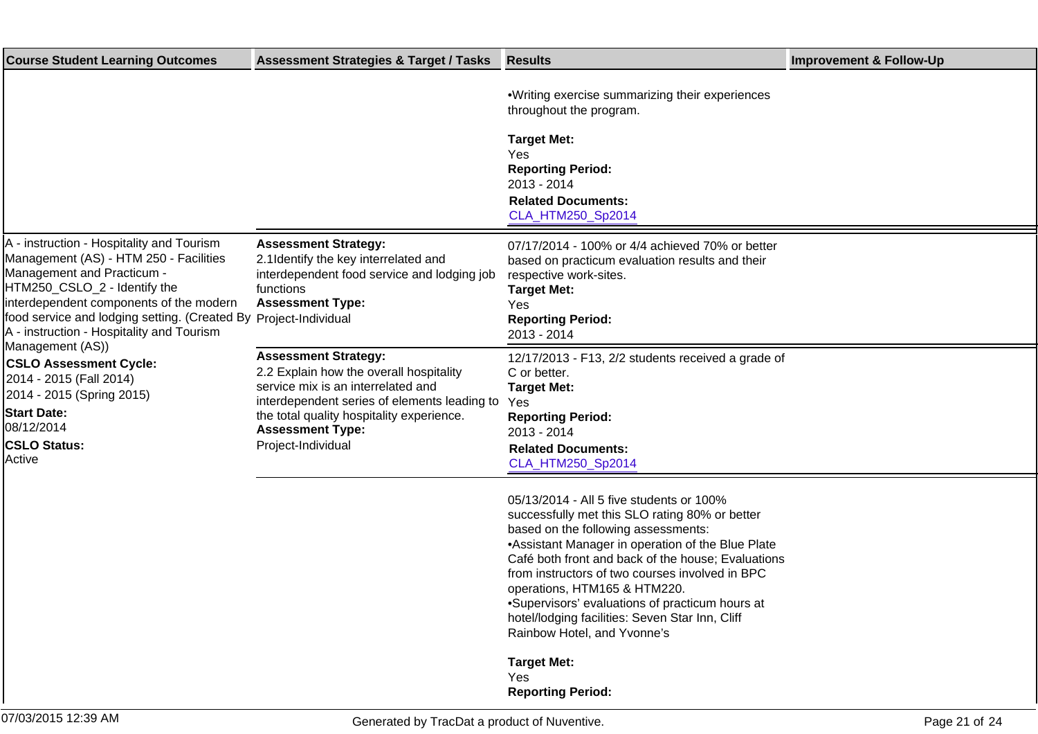| <b>Course Student Learning Outcomes</b>                                                                                                                                                                                                                                                                                                                                                                                                                                                         | <b>Assessment Strategies &amp; Target / Tasks</b>                                                                                                                                                                                                          | <b>Results</b>                                                                                                                                                                                                                                                                                                                                                                                                                                                         | <b>Improvement &amp; Follow-Up</b> |
|-------------------------------------------------------------------------------------------------------------------------------------------------------------------------------------------------------------------------------------------------------------------------------------------------------------------------------------------------------------------------------------------------------------------------------------------------------------------------------------------------|------------------------------------------------------------------------------------------------------------------------------------------------------------------------------------------------------------------------------------------------------------|------------------------------------------------------------------------------------------------------------------------------------------------------------------------------------------------------------------------------------------------------------------------------------------------------------------------------------------------------------------------------------------------------------------------------------------------------------------------|------------------------------------|
|                                                                                                                                                                                                                                                                                                                                                                                                                                                                                                 |                                                                                                                                                                                                                                                            | • Writing exercise summarizing their experiences<br>throughout the program.<br><b>Target Met:</b><br>Yes<br><b>Reporting Period:</b><br>2013 - 2014<br><b>Related Documents:</b><br>CLA_HTM250_Sp2014                                                                                                                                                                                                                                                                  |                                    |
| A - instruction - Hospitality and Tourism<br>Management (AS) - HTM 250 - Facilities<br>Management and Practicum -<br>HTM250_CSLO_2 - Identify the<br>interdependent components of the modern<br>food service and lodging setting. (Created By Project-Individual<br>A - instruction - Hospitality and Tourism<br>Management (AS))<br><b>CSLO Assessment Cycle:</b><br>2014 - 2015 (Fall 2014)<br>2014 - 2015 (Spring 2015)<br><b>Start Date:</b><br>08/12/2014<br><b>CSLO Status:</b><br>Active | <b>Assessment Strategy:</b><br>2.1 Identify the key interrelated and<br>interdependent food service and lodging job<br>functions<br><b>Assessment Type:</b>                                                                                                | 07/17/2014 - 100% or 4/4 achieved 70% or better<br>based on practicum evaluation results and their<br>respective work-sites.<br><b>Target Met:</b><br>Yes<br><b>Reporting Period:</b><br>2013 - 2014                                                                                                                                                                                                                                                                   |                                    |
|                                                                                                                                                                                                                                                                                                                                                                                                                                                                                                 | <b>Assessment Strategy:</b><br>2.2 Explain how the overall hospitality<br>service mix is an interrelated and<br>interdependent series of elements leading to<br>the total quality hospitality experience.<br><b>Assessment Type:</b><br>Project-Individual | 12/17/2013 - F13, 2/2 students received a grade of<br>C or better.<br><b>Target Met:</b><br>Yes<br><b>Reporting Period:</b><br>2013 - 2014<br><b>Related Documents:</b><br>CLA_HTM250_Sp2014                                                                                                                                                                                                                                                                           |                                    |
|                                                                                                                                                                                                                                                                                                                                                                                                                                                                                                 |                                                                                                                                                                                                                                                            | 05/13/2014 - All 5 five students or 100%<br>successfully met this SLO rating 80% or better<br>based on the following assessments:<br>• Assistant Manager in operation of the Blue Plate<br>Café both front and back of the house; Evaluations<br>from instructors of two courses involved in BPC<br>operations, HTM165 & HTM220.<br>· Supervisors' evaluations of practicum hours at<br>hotel/lodging facilities: Seven Star Inn, Cliff<br>Rainbow Hotel, and Yvonne's |                                    |
|                                                                                                                                                                                                                                                                                                                                                                                                                                                                                                 |                                                                                                                                                                                                                                                            | <b>Target Met:</b><br>Yes<br><b>Reporting Period:</b>                                                                                                                                                                                                                                                                                                                                                                                                                  |                                    |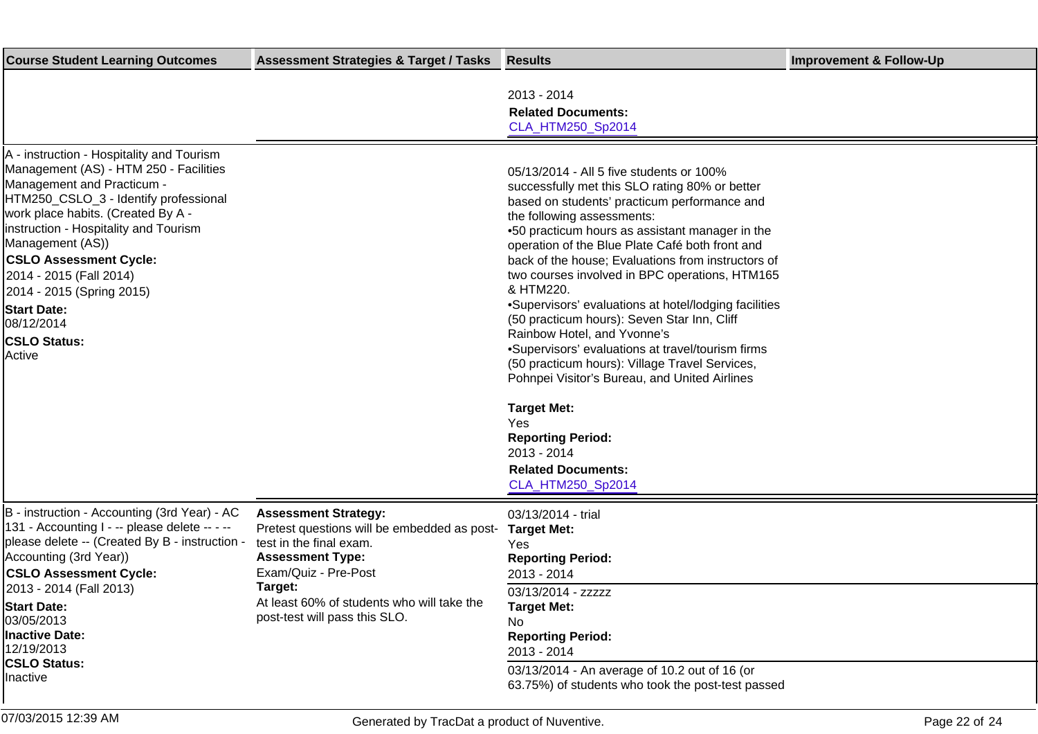| <b>Course Student Learning Outcomes</b>                                                                                                                                                                                                                                                                                                                                                                                     | <b>Assessment Strategies &amp; Target / Tasks</b>                                                                                                                                                                                                  | <b>Results</b>                                                                                                                                                                                                                                                                                                                                                                                                                                                                                                                                                                                                                                                                                                                                                                                                                  | <b>Improvement &amp; Follow-Up</b> |
|-----------------------------------------------------------------------------------------------------------------------------------------------------------------------------------------------------------------------------------------------------------------------------------------------------------------------------------------------------------------------------------------------------------------------------|----------------------------------------------------------------------------------------------------------------------------------------------------------------------------------------------------------------------------------------------------|---------------------------------------------------------------------------------------------------------------------------------------------------------------------------------------------------------------------------------------------------------------------------------------------------------------------------------------------------------------------------------------------------------------------------------------------------------------------------------------------------------------------------------------------------------------------------------------------------------------------------------------------------------------------------------------------------------------------------------------------------------------------------------------------------------------------------------|------------------------------------|
|                                                                                                                                                                                                                                                                                                                                                                                                                             |                                                                                                                                                                                                                                                    | 2013 - 2014<br><b>Related Documents:</b><br>CLA_HTM250_Sp2014                                                                                                                                                                                                                                                                                                                                                                                                                                                                                                                                                                                                                                                                                                                                                                   |                                    |
| A - instruction - Hospitality and Tourism<br>Management (AS) - HTM 250 - Facilities<br>Management and Practicum -<br>HTM250_CSLO_3 - Identify professional<br>work place habits. (Created By A -<br>instruction - Hospitality and Tourism<br>Management (AS))<br><b>CSLO Assessment Cycle:</b><br>2014 - 2015 (Fall 2014)<br>2014 - 2015 (Spring 2015)<br><b>Start Date:</b><br>08/12/2014<br><b>CSLO Status:</b><br>Active |                                                                                                                                                                                                                                                    | 05/13/2014 - All 5 five students or 100%<br>successfully met this SLO rating 80% or better<br>based on students' practicum performance and<br>the following assessments:<br>• 50 practicum hours as assistant manager in the<br>operation of the Blue Plate Café both front and<br>back of the house; Evaluations from instructors of<br>two courses involved in BPC operations, HTM165<br>& HTM220.<br>• Supervisors' evaluations at hotel/lodging facilities<br>(50 practicum hours): Seven Star Inn, Cliff<br>Rainbow Hotel, and Yvonne's<br>• Supervisors' evaluations at travel/tourism firms<br>(50 practicum hours): Village Travel Services,<br>Pohnpei Visitor's Bureau, and United Airlines<br><b>Target Met:</b><br>Yes<br><b>Reporting Period:</b><br>2013 - 2014<br><b>Related Documents:</b><br>CLA_HTM250_Sp2014 |                                    |
| B - instruction - Accounting (3rd Year) - AC<br>131 - Accounting I - -- please delete -- - --<br>please delete -- (Created By B - instruction -<br>Accounting (3rd Year))<br><b>CSLO Assessment Cycle:</b><br>2013 - 2014 (Fall 2013)<br><b>Start Date:</b><br>03/05/2013<br><b>Inactive Date:</b><br>12/19/2013<br><b>CSLO Status:</b><br>Inactive                                                                         | <b>Assessment Strategy:</b><br>Pretest questions will be embedded as post-<br>test in the final exam.<br><b>Assessment Type:</b><br>Exam/Quiz - Pre-Post<br>Target:<br>At least 60% of students who will take the<br>post-test will pass this SLO. | 03/13/2014 - trial<br><b>Target Met:</b><br>Yes<br><b>Reporting Period:</b><br>2013 - 2014<br>03/13/2014 - zzzzz<br><b>Target Met:</b><br>No.<br><b>Reporting Period:</b><br>2013 - 2014<br>03/13/2014 - An average of 10.2 out of 16 (or<br>63.75%) of students who took the post-test passed                                                                                                                                                                                                                                                                                                                                                                                                                                                                                                                                  |                                    |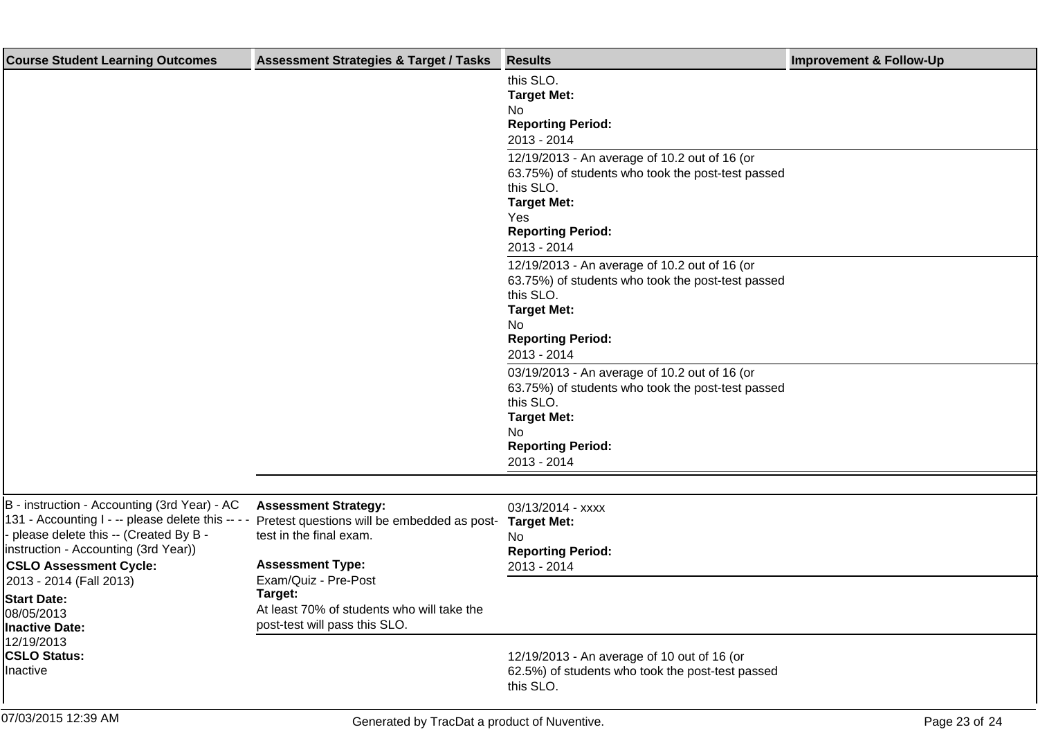| <b>Course Student Learning Outcomes</b>                                                                                                                                                                                                                                                                 | <b>Assessment Strategies &amp; Target / Tasks</b>                                                                                | <b>Results</b>                                                                                                                                                                          | <b>Improvement &amp; Follow-Up</b> |
|---------------------------------------------------------------------------------------------------------------------------------------------------------------------------------------------------------------------------------------------------------------------------------------------------------|----------------------------------------------------------------------------------------------------------------------------------|-----------------------------------------------------------------------------------------------------------------------------------------------------------------------------------------|------------------------------------|
|                                                                                                                                                                                                                                                                                                         |                                                                                                                                  | this SLO.<br><b>Target Met:</b><br>No<br><b>Reporting Period:</b><br>2013 - 2014                                                                                                        |                                    |
|                                                                                                                                                                                                                                                                                                         |                                                                                                                                  | 12/19/2013 - An average of 10.2 out of 16 (or<br>63.75%) of students who took the post-test passed<br>this SLO.<br><b>Target Met:</b><br>Yes<br><b>Reporting Period:</b><br>2013 - 2014 |                                    |
|                                                                                                                                                                                                                                                                                                         |                                                                                                                                  | 12/19/2013 - An average of 10.2 out of 16 (or<br>63.75%) of students who took the post-test passed<br>this SLO.<br><b>Target Met:</b><br>No<br><b>Reporting Period:</b><br>2013 - 2014  |                                    |
|                                                                                                                                                                                                                                                                                                         |                                                                                                                                  | 03/19/2013 - An average of 10.2 out of 16 (or<br>63.75%) of students who took the post-test passed<br>this SLO.<br><b>Target Met:</b><br>No<br><b>Reporting Period:</b><br>2013 - 2014  |                                    |
|                                                                                                                                                                                                                                                                                                         |                                                                                                                                  |                                                                                                                                                                                         |                                    |
| B - instruction - Accounting (3rd Year) - AC<br>131 - Accounting I - -- please delete this --<br>please delete this -- (Created By B -<br>instruction - Accounting (3rd Year))<br><b>CSLO Assessment Cycle:</b><br>2013 - 2014 (Fall 2013)<br><b>Start Date:</b><br>08/05/2013<br><b>Inactive Date:</b> | <b>Assessment Strategy:</b><br>Pretest questions will be embedded as post-<br>test in the final exam.<br><b>Assessment Type:</b> | 03/13/2014 - xxxx<br><b>Target Met:</b><br>No<br><b>Reporting Period:</b><br>2013 - 2014                                                                                                |                                    |
|                                                                                                                                                                                                                                                                                                         | Exam/Quiz - Pre-Post<br>Target:<br>At least 70% of students who will take the<br>post-test will pass this SLO.                   |                                                                                                                                                                                         |                                    |
| 12/19/2013<br><b>CSLO Status:</b><br>Inactive                                                                                                                                                                                                                                                           |                                                                                                                                  | 12/19/2013 - An average of 10 out of 16 (or<br>62.5%) of students who took the post-test passed<br>this SLO.                                                                            |                                    |